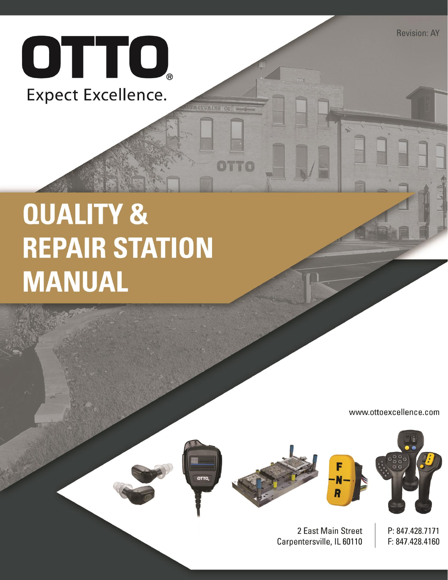

# **QUALITY & REPAIR STATION MANUAL**

www.ottoexcellence.com



CTURING CO

OTTO







2 East Main Street Carpentersville, IL 60110

P: 847.428.7171 F: 847.428.4160

**Revision: AY**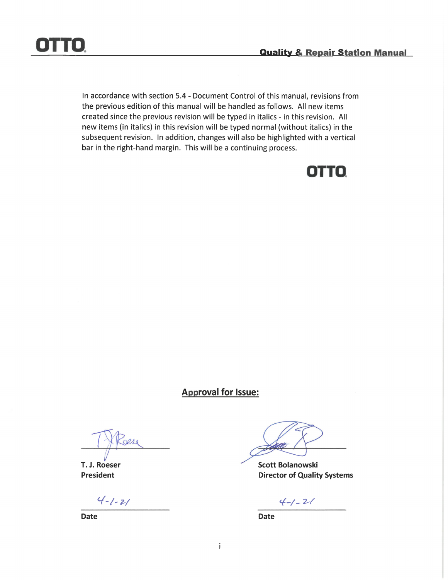

In accordance with section 5.4 - Document Control of this manual, revisions from the previous edition of this manual will be handled as follows. All new items created since the previous revision will be typed in italics - in this revision. All new items (in italics) in this revision will be typed normal (without italics) in the subsequent revision. In addition, changes will also be highlighted with a vertical bar in the right-hand margin. This will be a continuing process.



### **Approval for Issue:**

 $0010$ 

T. J. Roeser **President** 

 $4 - 1 - 21$ 

**Date** 

**Scott Bolanowski Director of Quality Systems** 

 $4 - 1 - 21$ 

**Date**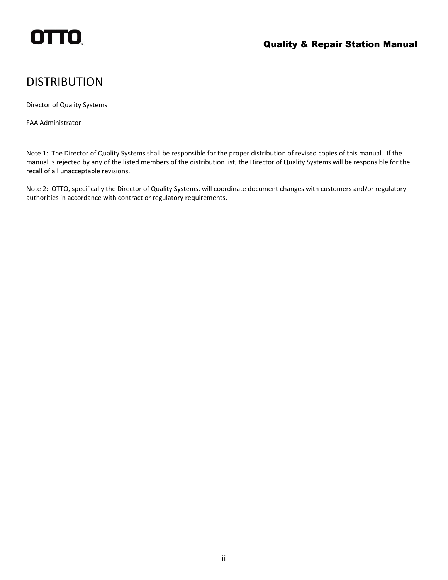# <span id="page-2-0"></span>**DISTRIBUTION**

Director of Quality Systems

FAA Administrator

Note 1: The Director of Quality Systems shall be responsible for the proper distribution of revised copies of this manual. If the manual is rejected by any of the listed members of the distribution list, the Director of Quality Systems will be responsible for the recall of all unacceptable revisions.

Note 2: OTTO, specifically the Director of Quality Systems, will coordinate document changes with customers and/or regulatory authorities in accordance with contract or regulatory requirements.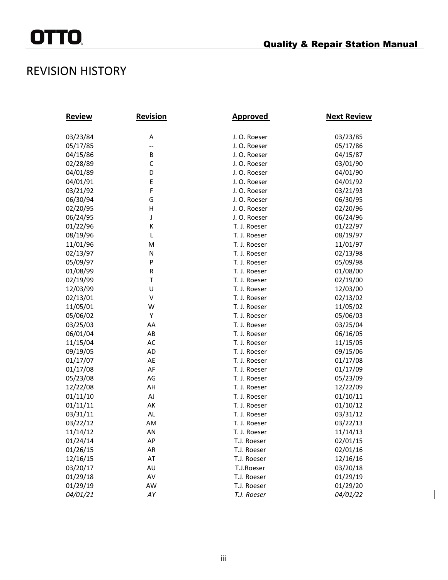$\overline{\phantom{a}}$ 

# <span id="page-3-0"></span>REVISION HISTORY

| <u>Review</u> | <b>Revision</b> | <u>Approved</u> | <b>Next Review</b> |
|---------------|-----------------|-----------------|--------------------|
| 03/23/84      | А               | J. O. Roeser    | 03/23/85           |
| 05/17/85      | --              | J. O. Roeser    | 05/17/86           |
| 04/15/86      | В               | J. O. Roeser    | 04/15/87           |
| 02/28/89      | C               | J. O. Roeser    | 03/01/90           |
| 04/01/89      | D               | J. O. Roeser    | 04/01/90           |
| 04/01/91      | Ε               | J. O. Roeser    | 04/01/92           |
| 03/21/92      | F               | J. O. Roeser    | 03/21/93           |
| 06/30/94      | G               | J. O. Roeser    | 06/30/95           |
| 02/20/95      | н               | J. O. Roeser    | 02/20/96           |
| 06/24/95      | J               | J. O. Roeser    | 06/24/96           |
| 01/22/96      | К               | T. J. Roeser    | 01/22/97           |
| 08/19/96      | L               | T. J. Roeser    | 08/19/97           |
| 11/01/96      | M               | T. J. Roeser    | 11/01/97           |
| 02/13/97      | N               | T. J. Roeser    | 02/13/98           |
| 05/09/97      | P               | T. J. Roeser    | 05/09/98           |
| 01/08/99      | R               | T. J. Roeser    | 01/08/00           |
| 02/19/99      | T               | T. J. Roeser    | 02/19/00           |
| 12/03/99      | U               | T. J. Roeser    | 12/03/00           |
| 02/13/01      | V               | T. J. Roeser    | 02/13/02           |
| 11/05/01      | W               | T. J. Roeser    | 11/05/02           |
| 05/06/02      | Υ               | T. J. Roeser    | 05/06/03           |
| 03/25/03      | AA              | T. J. Roeser    | 03/25/04           |
| 06/01/04      | AB              | T. J. Roeser    | 06/16/05           |
| 11/15/04      | AC              | T. J. Roeser    | 11/15/05           |
| 09/19/05      | AD              | T. J. Roeser    | 09/15/06           |
| 01/17/07      | AE              | T. J. Roeser    | 01/17/08           |
| 01/17/08      | AF              | T. J. Roeser    | 01/17/09           |
| 05/23/08      | AG              | T. J. Roeser    | 05/23/09           |
| 12/22/08      | AH              | T. J. Roeser    | 12/22/09           |
| 01/11/10      | AJ              | T. J. Roeser    | 01/10/11           |
| 01/11/11      | АK              | T. J. Roeser    | 01/10/12           |
| 03/31/11      | AL              | T. J. Roeser    | 03/31/12           |
| 03/22/12      | AM              | T. J. Roeser    | 03/22/13           |
| 11/14/12      | AN              | T. J. Roeser    | 11/14/13           |
| 01/24/14      | AP              | T.J. Roeser     | 02/01/15           |
| 01/26/15      | AR              | T.J. Roeser     | 02/01/16           |
| 12/16/15      | AT              | T.J. Roeser     | 12/16/16           |
| 03/20/17      | AU              | T.J.Roeser      | 03/20/18           |
| 01/29/18      | AV              | T.J. Roeser     | 01/29/19           |
| 01/29/19      | AW              | T.J. Roeser     | 01/29/20           |
| 04/01/21      | AY              | T.J. Roeser     | 04/01/22           |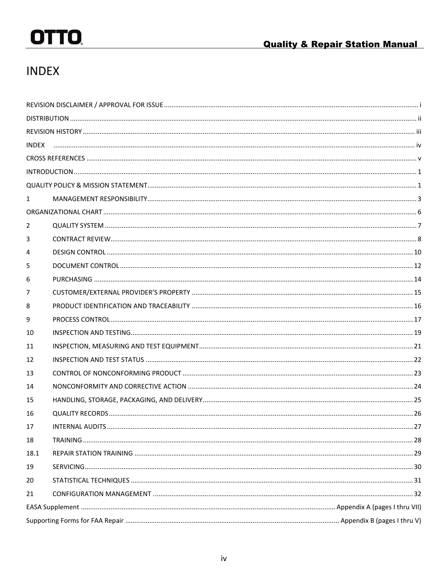# <span id="page-4-0"></span>**INDEX**

| <b>INDEX</b> |  |  |  |  |
|--------------|--|--|--|--|
|              |  |  |  |  |
|              |  |  |  |  |
|              |  |  |  |  |
| $\mathbf{1}$ |  |  |  |  |
|              |  |  |  |  |
| 2            |  |  |  |  |
| 3            |  |  |  |  |
| 4            |  |  |  |  |
| 5            |  |  |  |  |
| 6            |  |  |  |  |
| 7            |  |  |  |  |
| 8            |  |  |  |  |
| 9            |  |  |  |  |
| 10           |  |  |  |  |
| 11           |  |  |  |  |
| 12           |  |  |  |  |
| 13           |  |  |  |  |
| 14           |  |  |  |  |
| 15           |  |  |  |  |
| 16           |  |  |  |  |
| 17           |  |  |  |  |
| 18           |  |  |  |  |
| 18.1         |  |  |  |  |
| 19           |  |  |  |  |
| 20           |  |  |  |  |
| 21           |  |  |  |  |
|              |  |  |  |  |
|              |  |  |  |  |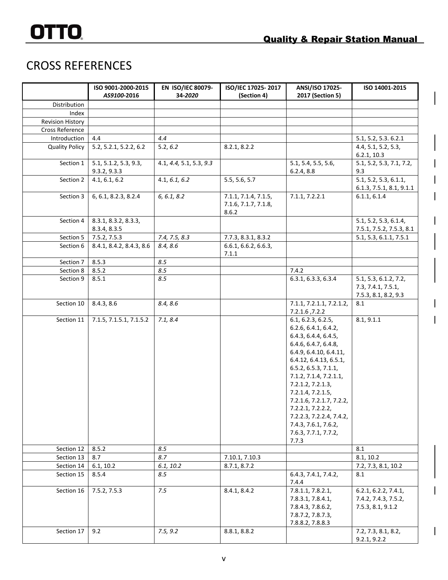# <span id="page-5-0"></span>CROSS REFERENCES

|                         | ISO 9001-2000-2015<br>AS9100-2016     | EN ISO/IEC 80079-<br>34-2020 | ISO/IEC 17025-2017<br>(Section 4)                     | ANSI/ISO 17025-<br>2017 (Section 5)                                                                                                                                                                                                                                                                                                                                              | ISO 14001-2015                                                      |
|-------------------------|---------------------------------------|------------------------------|-------------------------------------------------------|----------------------------------------------------------------------------------------------------------------------------------------------------------------------------------------------------------------------------------------------------------------------------------------------------------------------------------------------------------------------------------|---------------------------------------------------------------------|
| Distribution            |                                       |                              |                                                       |                                                                                                                                                                                                                                                                                                                                                                                  |                                                                     |
| Index                   |                                       |                              |                                                       |                                                                                                                                                                                                                                                                                                                                                                                  |                                                                     |
| <b>Revision History</b> |                                       |                              |                                                       |                                                                                                                                                                                                                                                                                                                                                                                  |                                                                     |
| Cross Reference         |                                       |                              |                                                       |                                                                                                                                                                                                                                                                                                                                                                                  |                                                                     |
| Introduction            | 4.4                                   | 4.4                          |                                                       |                                                                                                                                                                                                                                                                                                                                                                                  | 5.1, 5.2, 5.3. 6.2.1                                                |
| <b>Quality Policy</b>   | 5.2, 5.2.1, 5.2.2, 6.2                | 5.2, 6.2                     | 8.2.1, 8.2.2                                          |                                                                                                                                                                                                                                                                                                                                                                                  | 4.4, 5.1, 5.2, 5.3,<br>6.2.1, 10.3                                  |
| Section 1               | 5.1, 5.1.2, 5.3, 9.3,<br>9.3.2, 9.3.3 | 4.1, 4.4, 5.1, 5.3, 9.3      |                                                       | 5.1, 5.4, 5.5, 5.6,<br>6.2.4, 8.8                                                                                                                                                                                                                                                                                                                                                | 5.1, 5.2, 5.3, 7.1, 7.2,<br>9.3                                     |
| Section 2               | 4.1, 6.1, 6.2                         | 4.1, 6.1, 6.2                | 5.5, 5.6, 5.7                                         |                                                                                                                                                                                                                                                                                                                                                                                  | 5.1, 5.2, 5.3, 6.1.1,<br>6.1.3, 7.5.1, 8.1, 9.1.1                   |
| Section 3               | 6, 6.1, 8.2.3, 8.2.4                  | 6, 6.1, 8.2                  | 7.1.1, 7.1.4, 7.1.5,<br>7.1.6, 7.1.7, 7.1.8,<br>8.6.2 | 7.1.1, 7.2.2.1                                                                                                                                                                                                                                                                                                                                                                   | 6.1.1, 6.1.4                                                        |
| Section 4               | 8.3.1, 8.3.2, 8.3.3,<br>8.3.4, 8.3.5  |                              |                                                       |                                                                                                                                                                                                                                                                                                                                                                                  | 5.1, 5.2, 5.3, 6.1.4,<br>7.5.1, 7.5.2, 7.5.3, 8.1                   |
| Section 5               | 7.5.2, 7.5.3                          | 7.4, 7.5, 8.3                | 7.7.3, 8.3.1, 8.3.2                                   |                                                                                                                                                                                                                                                                                                                                                                                  | 5.1, 5.3, 6.1.1, 7.5.1                                              |
| Section 6               | 8.4.1, 8.4.2, 8.4.3, 8.6              | 8.4, 8.6                     | 6.6.1, 6.6.2, 6.6.3,<br>7.1.1                         |                                                                                                                                                                                                                                                                                                                                                                                  |                                                                     |
| Section 7               | 8.5.3                                 | 8.5                          |                                                       |                                                                                                                                                                                                                                                                                                                                                                                  |                                                                     |
| Section 8               | 8.5.2                                 | 8.5                          |                                                       | 7.4.2                                                                                                                                                                                                                                                                                                                                                                            |                                                                     |
| Section 9               | 8.5.1                                 | 8.5                          |                                                       | 6.3.1, 6.3.3, 6.3.4                                                                                                                                                                                                                                                                                                                                                              | 5.1, 5.3, 6.1.2, 7.2,<br>7.3, 7.4.1, 7.5.1,<br>7.5.3, 8.1, 8.2, 9.3 |
| Section 10              | 8.4.3, 8.6                            | 8.4, 8.6                     |                                                       | 7.1.1, 7.2.1.1, 7.2.1.2,<br>7.2.1.6, 7.2.2                                                                                                                                                                                                                                                                                                                                       | 8.1                                                                 |
| Section 11              | 7.1.5, 7.1.5.1, 7.1.5.2               | 7.1, 8.4                     |                                                       | 6.1, 6.2.3, 6.2.5,<br>6.2.6, 6.4.1, 6.4.2,<br>6.4.3, 6.4.4, 6.4.5,<br>6.4.6, 6.4.7, 6.4.8,<br>6.4.9, 6.4.10, 6.4.11,<br>6.4.12, 6.4.13, 6.5.1,<br>6.5.2, 6.5.3, 7.1.1,<br>7.1.2, 7.1.4, 7.2.1.1,<br>7.2.1.2, 7.2.1.3,<br>7.2.1.4, 7.2.1.5,<br>7.2.1.6, 7.2.1.7, 7.2.2,<br>7.2.2.1, 7.2.2.2,<br>7.2.2.3, 7.2.2.4, 7.4.2,<br>7.4.3, 7.6.1, 7.6.2,<br>7.6.3, 7.7.1, 7.7.2,<br>7.7.3 | 8.1, 9.1.1                                                          |
| Section 12              | 8.5.2                                 | 8.5                          |                                                       |                                                                                                                                                                                                                                                                                                                                                                                  | 8.1                                                                 |
| Section 13              | 8.7                                   | 8.7                          | 7.10.1, 7.10.3                                        |                                                                                                                                                                                                                                                                                                                                                                                  | 8.1, 10.2                                                           |
| Section 14              | 6.1, 10.2                             | 6.1, 10.2                    | 8.7.1, 8.7.2                                          |                                                                                                                                                                                                                                                                                                                                                                                  | 7.2, 7.3, 8.1, 10.2                                                 |
| Section 15              | 8.5.4                                 | 8.5                          |                                                       | 6.4.3, 7.4.1, 7.4.2,<br>7.4.4                                                                                                                                                                                                                                                                                                                                                    | 8.1                                                                 |
| Section 16              | 7.5.2, 7.5.3                          | 7.5                          | 8.4.1, 8.4.2                                          | 7.8.1.1, 7.8.2.1,<br>7.8.3.1, 7.8.4.1,<br>7.8.4.3, 7.8.6.2,<br>7.8.7.2, 7.8.7.3,<br>7.8.8.2, 7.8.8.3                                                                                                                                                                                                                                                                             | 6.2.1, 6.2.2, 7.4.1,<br>7.4.2, 7.4.3, 7.5.2,<br>7.5.3, 8.1, 9.1.2   |
| Section 17              | 9.2                                   | 7.5, 9.2                     | 8.8.1, 8.8.2                                          |                                                                                                                                                                                                                                                                                                                                                                                  | 7.2, 7.3, 8.1, 8.2,<br>9.2.1, 9.2.2                                 |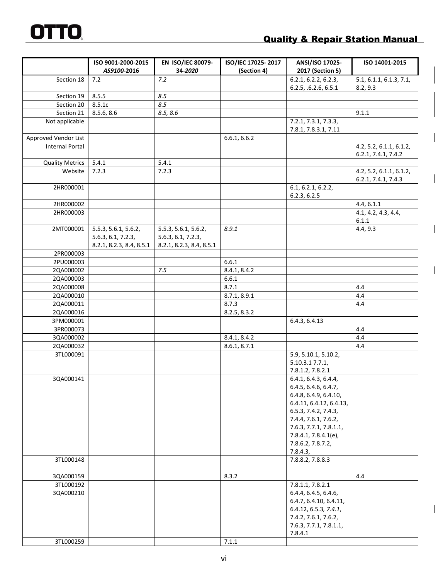# **Quality & Repair Station Manual**

 $\overline{\phantom{a}}$ 

 $\mathbf{I}$ 

 $\overline{\phantom{a}}$ 

 $\overline{\phantom{a}}$ 

|                        | ISO 9001-2000-2015<br>AS9100-2016 | EN ISO/IEC 80079-<br>34-2020 | ISO/IEC 17025-2017<br>(Section 4) | ANSI/ISO 17025-<br>2017 (Section 5)       | ISO 14001-2015                                 |
|------------------------|-----------------------------------|------------------------------|-----------------------------------|-------------------------------------------|------------------------------------------------|
| Section 18             | 7.2                               | 7.2                          |                                   | 6.2.1, 6.2.2, 6.2.3,                      | 5.1, 6.1.1, 6.1.3, 7.1,                        |
|                        |                                   |                              |                                   | 6.2.5, .6.2.6, 6.5.1                      | 8.2, 9.3                                       |
| Section 19             | 8.5.5                             | 8.5                          |                                   |                                           |                                                |
| Section 20             | 8.5.1c                            | 8.5                          |                                   |                                           |                                                |
| Section 21             | 8.5.6, 8.6                        | 8.5, 8.6                     |                                   |                                           | 9.1.1                                          |
| Not applicable         |                                   |                              |                                   | 7.2.1, 7.3.1, 7.3.3,                      |                                                |
|                        |                                   |                              |                                   | 7.8.1, 7.8.3.1, 7.11                      |                                                |
| Approved Vendor List   |                                   |                              | 6.6.1, 6.6.2                      |                                           |                                                |
| <b>Internal Portal</b> |                                   |                              |                                   |                                           | 4.2, 5.2, 6.1.1, 6.1.2,<br>6.2.1, 7.4.1, 7.4.2 |
| <b>Quality Metrics</b> | 5.4.1                             | 5.4.1                        |                                   |                                           |                                                |
| Website                | 7.2.3                             | 7.2.3                        |                                   |                                           | 4.2, 5.2, 6.1.1, 6.1.2,                        |
|                        |                                   |                              |                                   |                                           | 6.2.1, 7.4.1, 7.4.3                            |
| 2HR000001              |                                   |                              |                                   | 6.1, 6.2.1, 6.2.2,                        |                                                |
| 2HR000002              |                                   |                              |                                   | 6.2.3, 6.2.5                              |                                                |
| 2HR000003              |                                   |                              |                                   |                                           | 4.4, 6.1.1<br>4.1, 4.2, 4.3, 4.4,              |
|                        |                                   |                              |                                   |                                           | 6.1.1                                          |
| 2MT000001              | 5.5.3, 5.6.1, 5.6.2,              | 5.5.3, 5.6.1, 5.6.2,         | 8.9.1                             |                                           | 4.4, 9.3                                       |
|                        | 5.6.3, 6.1, 7.2.3,                | 5.6.3, 6.1, 7.2.3,           |                                   |                                           |                                                |
|                        | 8.2.1, 8.2.3, 8.4, 8.5.1          | 8.2.1, 8.2.3, 8.4, 8.5.1     |                                   |                                           |                                                |
| 2PR000003              |                                   |                              |                                   |                                           |                                                |
| 2PU000003              |                                   |                              | 6.6.1                             |                                           |                                                |
| 2QA000002              |                                   | 7.5                          | 8.4.1, 8.4.2                      |                                           |                                                |
| 2QA000003              |                                   |                              | 6.6.1                             |                                           |                                                |
| 2QA000008              |                                   |                              | 8.7.1                             |                                           | 4.4                                            |
| 2QA000010              |                                   |                              | 8.7.1, 8.9.1                      |                                           | 4.4                                            |
| 2QA000011              |                                   |                              | 8.7.3                             |                                           | 4.4                                            |
| 2QA000016              |                                   |                              | 8.2.5, 8.3.2                      |                                           |                                                |
| 3PM000001              |                                   |                              |                                   | 6.4.3, 6.4.13                             |                                                |
| 3PR000073              |                                   |                              |                                   |                                           | 4.4                                            |
| 3QA000002              |                                   |                              | 8.4.1, 8.4.2                      |                                           | 4.4                                            |
| 2QA000032              |                                   |                              | 8.6.1, 8.7.1                      |                                           | 4.4                                            |
| 3TL000091              |                                   |                              |                                   | 5.9, 5.10.1, 5.10.2,                      |                                                |
|                        |                                   |                              |                                   | 5.10.3.17.7.1,                            |                                                |
|                        |                                   |                              |                                   | 7.8.1.2, 7.8.2.1                          |                                                |
| 3QA000141              |                                   |                              |                                   | 6.4.1, 6.4.3, 6.4.4,                      |                                                |
|                        |                                   |                              |                                   | 6.4.5, 6.4.6, 6.4.7,                      |                                                |
|                        |                                   |                              |                                   | 6.4.8, 6.4.9, 6.4.10,                     |                                                |
|                        |                                   |                              |                                   | 6.4.11, 6.4.12, 6.4.13,                   |                                                |
|                        |                                   |                              |                                   | 6.5.3, 7.4.2, 7.4.3,                      |                                                |
|                        |                                   |                              |                                   | 7.4.4, 7.6.1, 7.6.2,                      |                                                |
|                        |                                   |                              |                                   | 7.6.3, 7.7.1, 7.8.1.1,                    |                                                |
|                        |                                   |                              |                                   | 7.8.4.1, 7.8.4.1(e),<br>7.8.6.2, 7.8.7.2, |                                                |
|                        |                                   |                              |                                   | 7.8.4.3,                                  |                                                |
| 3TL000148              |                                   |                              |                                   | 7.8.8.2, 7.8.8.3                          |                                                |
|                        |                                   |                              |                                   |                                           |                                                |
| 3QA000159              |                                   |                              | 8.3.2                             |                                           | 4.4                                            |
| 3TL000192              |                                   |                              |                                   | 7.8.1.1, 7.8.2.1                          |                                                |
| 3QA000210              |                                   |                              |                                   | 6.4.4, 6.4.5, 6.4.6,                      |                                                |
|                        |                                   |                              |                                   | 6.4.7, 6.4.10, 6.4.11,                    |                                                |
|                        |                                   |                              |                                   | 6.4.12, 6.5.3, 7.4.1,                     |                                                |
|                        |                                   |                              |                                   | 7.4.2, 7.6.1, 7.6.2,                      |                                                |
|                        |                                   |                              |                                   | 7.6.3, 7.7.1, 7.8.1.1,                    |                                                |
|                        |                                   |                              |                                   | 7.8.4.1                                   |                                                |
| 3TL000259              |                                   |                              | 7.1.1                             |                                           |                                                |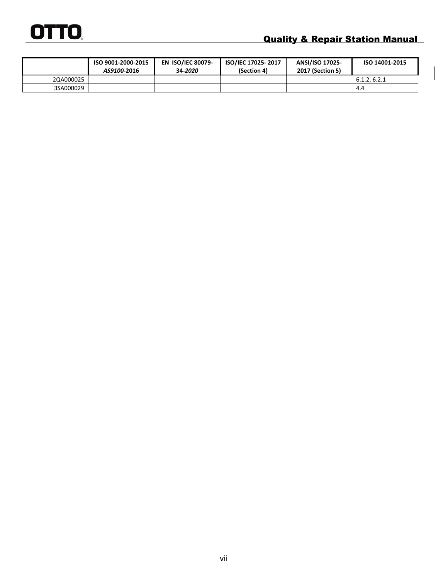|           | ISO 9001-2000-2015<br>AS9100-2016 | <b>EN ISO/IEC 80079-</b><br>34-2020 | ISO/IEC 17025-2017<br>(Section 4) | <b>ANSI/ISO 17025-</b><br><b>2017 (Section 5)</b> | ISO 14001-2015 |
|-----------|-----------------------------------|-------------------------------------|-----------------------------------|---------------------------------------------------|----------------|
| 2QA000025 |                                   |                                     |                                   |                                                   | 6.1.2.6.2.1    |
| 3SA000029 |                                   |                                     |                                   |                                                   | 4.4            |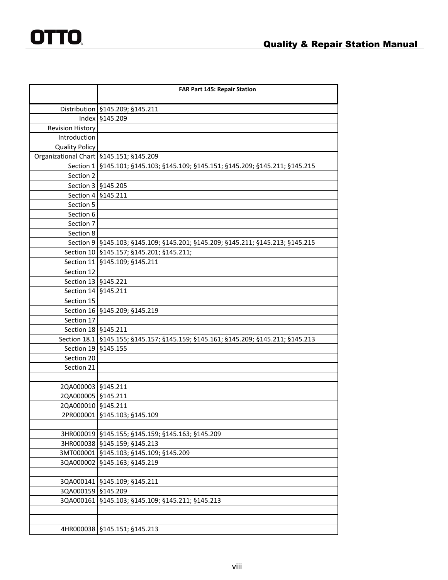|                                           | <b>FAR Part 145: Repair Station</b>                                                 |
|-------------------------------------------|-------------------------------------------------------------------------------------|
|                                           | Distribution   §145.209; §145.211                                                   |
| Index                                     | §145.209                                                                            |
| <b>Revision History</b>                   |                                                                                     |
| Introduction                              |                                                                                     |
| <b>Quality Policy</b>                     |                                                                                     |
| Organizational Chart   §145.151; §145.209 |                                                                                     |
| Section 1                                 | §145.101; §145.103; §145.109; §145.151; §145.209; §145.211; §145.215                |
| Section 2                                 |                                                                                     |
|                                           | Section 3   §145.205                                                                |
| Section 4                                 | §145.211                                                                            |
| Section 5                                 |                                                                                     |
| Section 6                                 |                                                                                     |
| Section 7                                 |                                                                                     |
| Section 8                                 |                                                                                     |
|                                           | Section 9   §145.103; §145.109; §145.201; §145.209; §145.211; §145.213; §145.215    |
|                                           | Section 10   §145.157; §145.201; §145.211;                                          |
| Section 11                                | §145.109; §145.211                                                                  |
| Section 12                                |                                                                                     |
| Section 13   §145.221                     |                                                                                     |
| Section 14   §145.211                     |                                                                                     |
| Section 15                                |                                                                                     |
|                                           | Section 16   §145.209; §145.219                                                     |
| Section 17                                |                                                                                     |
| Section 18 § 145.211                      |                                                                                     |
|                                           | Section 18.1   §145.155; §145.157; §145.159; §145.161; §145.209; §145.211; §145.213 |
| Section 19                                | §145.155                                                                            |
| Section 20                                |                                                                                     |
| Section 21                                |                                                                                     |
| 2QA000003   §145.211                      |                                                                                     |
| 2QA000005   §145.211                      |                                                                                     |
| 2QA000010   §145.211                      |                                                                                     |
| 2PR000001                                 | §145.103; §145.109                                                                  |
|                                           |                                                                                     |
|                                           | 3HR000019   §145.155; §145.159; §145.163; §145.209                                  |
| 3HR000038                                 | §145.159; §145.213                                                                  |
|                                           | 3MT000001   §145.103; §145.109; §145.209                                            |
| 3QA000002                                 | §145.163; §145.219                                                                  |
|                                           |                                                                                     |
| 3QA000141                                 | §145.109; §145.211                                                                  |
| 3QA000159                                 | §145.209                                                                            |
| 3QA000161                                 | §145.103; §145.109; §145.211; §145.213                                              |
|                                           |                                                                                     |
|                                           |                                                                                     |
| 4HR000038                                 | §145.151; §145.213                                                                  |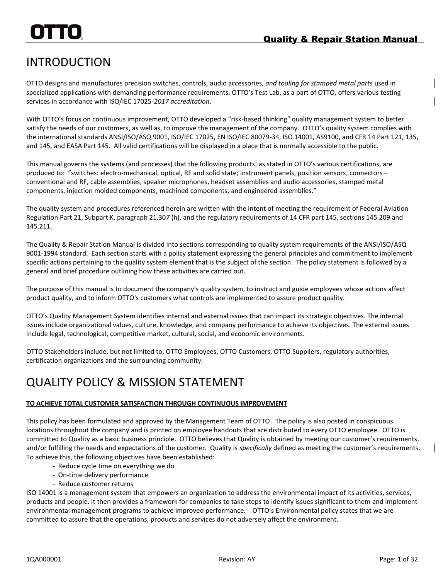# <span id="page-9-0"></span>INTRODUCTION

OTTO designs and manufactures precision switches, controls*,* audio accessories*, and tooling for stamped metal parts* used in specialized applications with demanding performance requirements. OTTO's Test Lab, as a part of OTTO, offers various testing services in accordance with ISO/IEC 17025-*2017 accreditation*.

With OTTO's focus on continuous improvement, OTTO developed a "risk-based thinking" quality management system to better satisfy the needs of our customers, as well as, to improve the management of the company. OTTO's quality system complies with the international standards ANSI/ISO/ASQ 9001, ISO/IEC 17025, EN ISO/IEC 80079-34, ISO 14001, AS9100, and CFR 14 Part 121, 135, and 145, and EASA Part 145. All valid certifications will be displayed in a place that is normally accessible to the public.

This manual governs the systems (and processes) that the following products, as stated in OTTO's various certifications, are produced to: "switches: electro-mechanical, optical, RF and solid state; instrument panels, position sensors, connectors – conventional and RF, cable assemblies, speaker microphones, headset assemblies and audio accessories, stamped metal components, injection molded components, machined components, and engineered assemblies."

The quality system and procedures referenced herein are written with the intent of meeting the requirement of Federal Aviation Regulation Part 21, Subpart K, paragraph 21.30*7* (h), and the regulatory requirements of 14 CFR part 145, sections 145.209 and 145.211.

The Quality & Repair Station Manual is divided into sections corresponding to quality system requirements of the ANSI/ISO/ASQ 9001-1994 standard. Each section starts with a policy statement expressing the general principles and commitment to implement specific actions pertaining to the quality system element that is the subject of the section. The policy statement is followed by a general and brief procedure outlining how these activities are carried out.

The purpose of this manual is to document the company's quality system, to instruct and guide employees whose actions affect product quality, and to inform OTTO's customers what controls are implemented to assure product quality.

OTTO's Quality Management System identifies internal and external issues that can impact its strategic objectives. The internal issues include organizational values, culture, knowledge, and company performance to achieve its objectives. The external issues include legal, technological, competitive market, cultural, social, and economic environments.

OTTO Stakeholders include, but not limited to, OTTO Employees, OTTO Customers, OTTO Suppliers, regulatory authorities, certification organizations and the surrounding community.

# <span id="page-9-1"></span>QUALITY POLICY & MISSION STATEMENT

### **TO ACHIEVE TOTAL CUSTOMER SATISFACTION THROUGH CONTINUOUS IMPROVEMENT**

This policy has been formulated and approved by the Management Team of OTTO. The policy is also posted in conspicuous locations throughout the company and is printed on employee handouts that are distributed to every OTTO employee. OTTO is committed to Quality as a basic business principle. OTTO believes that Quality is obtained by meeting our customer's requirements, and/or fulfilling the needs and expectations of the customer. Quality is *specifically* defined as meeting the customer's requirements. To achieve this, the following objectives have been established:

- Reduce cycle time on everything we do
- On-time delivery performance
- Reduce customer returns

ISO 14001 is a management system that empowers an organization to address the environmental impact of its activities, services, products and people. It then provides a framework for companies to take steps to identify issues significant to them and implement environmental management programs to achieve improved performance. OTTO's Environmental policy states that we are committed to assure that the operations, products and services do not adversely affect the environment.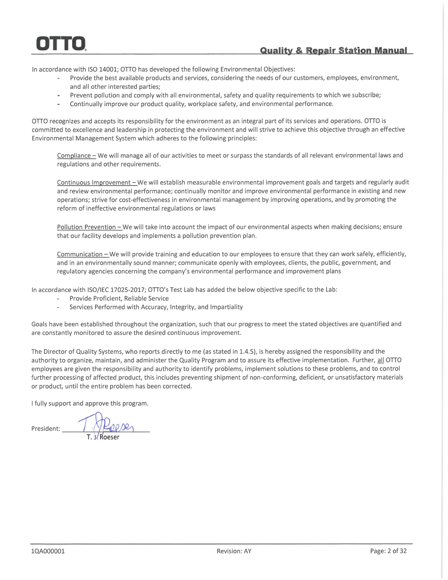### **Quality & Repair Station Manual**

In accordance with ISO 14001; OTTO has developed the following Environmental Objectives:

- Provide the best available products and services, considering the needs of our customers, employees, environment, and all other interested parties;
- Prevent pollution and comply with all environmental, safety and quality requirements to which we subscribe;
- Continually improve our product quality, workplace safety, and environmental performance.

OTTO recognizes and accepts its responsibility for the environment as an integral part of its services and operations. OTTO is committed to excellence and leadership in protecting the environment and will strive to achieve this objective through an effective Environmental Management System which adheres to the following principles:

Compliance - We will manage all of our activities to meet or surpass the standards of all relevant environmental laws and regulations and other requirements.

Continuous Improvement - We will establish measurable environmental improvement goals and targets and regularly audit and review environmental performance; continually monitor and improve environmental performance in existing and new operations; strive for cost-effectiveness in environmental management by improving operations, and by promoting the reform of ineffective environmental regulations or laws

Pollution Prevention - We will take into account the impact of our environmental aspects when making decisions; ensure that our facility develops and implements a pollution prevention plan.

Communication - We will provide training and education to our employees to ensure that they can work safely, efficiently, and in an environmentally sound manner; communicate openly with employees, clients, the public, government, and regulatory agencies concerning the company's environmental performance and improvement plans

In accordance with ISO/IEC 17025-2017; OTTO's Test Lab has added the below objective specific to the Lab:

- Provide Proficient, Reliable Service
- Services Performed with Accuracy, Integrity, and Impartiality

Goals have been established throughout the organization, such that our progress to meet the stated objectives are quantified and are constantly monitored to assure the desired continuous improvement.

The Director of Quality Systems, who reports directly to me (as stated in 1.4.5), is hereby assigned the responsibility and the authority to organize, maintain, and administer the Quality Program and to assure its effective implementation. Further, all OTTO employees are given the responsibility and authority to identify problems, implement solutions to these problems, and to control further processing of affected product, this includes preventing shipment of non-conforming, deficient, or unsatisfactory materials or product, until the entire problem has been corrected.

I fully support and approve this program.

President: 1 Placeser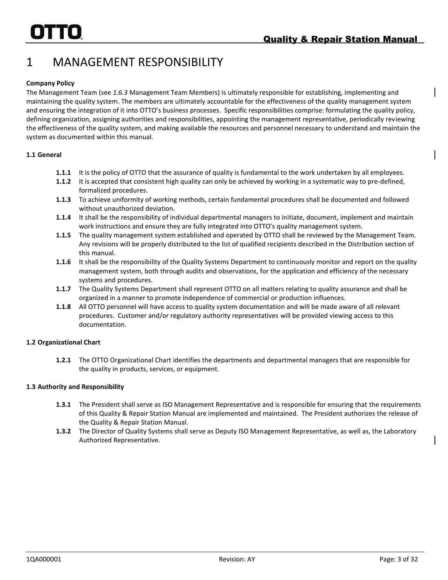# <span id="page-11-0"></span>1 MANAGEMENT RESPONSIBILITY

### **Company Policy**

The Management Team (see *1.6.3* Management Team Members) is ultimately responsible for establishing, implementing and maintaining the quality system. The members are ultimately accountable for the effectiveness of the quality management system and ensuring the integration of it into OTTO's business processes. Specific responsibilities comprise: formulating the quality policy, defining organization, assigning authorities and responsibilities, appointing the management representative, periodically reviewing the effectiveness of the quality system, and making available the resources and personnel necessary to understand and maintain the system as documented within this manual.

### **1.1 General**

- **1.1.1** It is the policy of OTTO that the assurance of quality is fundamental to the work undertaken by all employees.
- **1.1.2** It is accepted that consistent high quality can only be achieved by working in a systematic way to pre-defined, formalized procedures.
- **1.1.3** To achieve uniformity of working methods, certain fundamental procedures shall be documented and followed without unauthorized deviation.
- **1.1.4** It shall be the responsibility of individual departmental managers to initiate, document, implement and maintain work instructions and ensure they are fully integrated into OTTO's quality management system.
- **1.1.5** The quality management system established and operated by OTTO shall be reviewed by the Management Team. Any revisions will be properly distributed to the list of qualified recipients described in the Distribution section of this manual.
- **1.1.6** It shall be the responsibility of the Quality Systems Department to continuously monitor and report on the quality management system, both through audits and observations, for the application and efficiency of the necessary systems and procedures.
- **1.1.7** The Quality Systems Department shall represent OTTO on all matters relating to quality assurance and shall be organized in a manner to promote independence of commercial or production influences.
- **1.1.8** All OTTO personnel will have access to quality system documentation and will be made aware of all relevant procedures. Customer and/or regulatory authority representatives will be provided viewing access to this documentation.

### **1.2 Organizational Chart**

**1.2.1** The OTTO Organizational Chart identifies the departments and departmental managers that are responsible for the quality in products, services, or equipment.

### **1.3 Authority and Responsibility**

- **1.3.1** The President shall serve as ISO Management Representative and is responsible for ensuring that the requirements of this Quality & Repair Station Manual are implemented and maintained. The President authorizes the release of the Quality & Repair Station Manual.
- **1.3.2** The Director of Quality Systems shall serve as Deputy ISO Management Representative, as well as, the Laboratory Authorized Representative.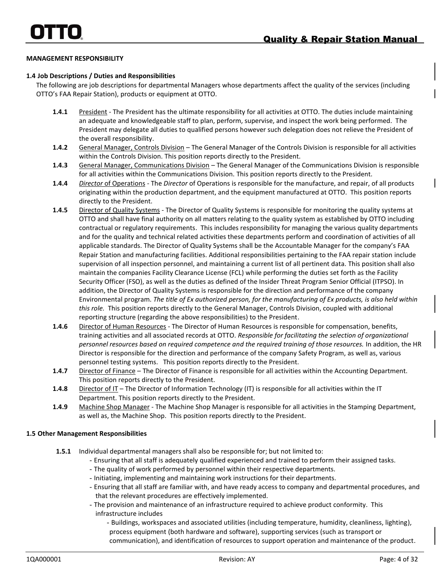### **MANAGEMENT RESPONSIBILITY**

### **1.4 Job Descriptions / Duties and Responsibilities**

The following are job descriptions for departmental Managers whose departments affect the quality of the services (including OTTO's FAA Repair Station), products or equipment at OTTO.

- **1.4.1** President The President has the ultimate responsibility for all activities at OTTO. The duties include maintaining an adequate and knowledgeable staff to plan, perform, supervise, and inspect the work being performed. The President may delegate all duties to qualified persons however such delegation does not relieve the President of the overall responsibility.
- **1.4.2** General Manager, Controls Division The General Manager of the Controls Division is responsible for all activities within the Controls Division. This position reports directly to the President.
- **1.4.3** General Manager, Communications Division The General Manager of the Communications Division is responsible for all activities within the Communications Division. This position reports directly to the President.
- **1.4.4** *Director* of Operations The *Director* of Operations is responsible for the manufacture, and repair, of all products originating within the production department, and the equipment manufactured at OTTO. This position reports directly to the President.
- **1.4.5** Director of Quality Systems The Director of Quality Systems is responsible for monitoring the quality systems at OTTO and shall have final authority on all matters relating to the quality system as established by OTTO including contractual or regulatory requirements. This includes responsibility for managing the various quality departments and for the quality and technical related activities these departments perform and coordination of activities of all applicable standards. The Director of Quality Systems shall be the Accountable Manager for the company's FAA Repair Station and manufacturing facilities. Additional responsibilities pertaining to the FAA repair station include supervision of all inspection personnel, and maintaining a current list of all pertinent data. This position shall also maintain the companies Facility Clearance License (FCL) while performing the duties set forth as the Facility Security Officer (FSO), as well as the duties as defined of the Insider Threat Program Senior Official (ITPSO). In addition, the Director of Quality Systems is responsible for the direction and performance of the company Environmental program. *The title of Ex authorized person, for the manufacturing of Ex products, is also held within this role.* This position reports directly to the General Manager, Controls Division, coupled with additional reporting structure (regarding the above responsibilities) to the President.
- **1.4.6** Director of Human Resources The Director of Human Resources is responsible for compensation, benefits, training activities and all associated records at OTTO. *Responsible for facilitating the selection of organizational personnel resources based on required competence and the required training of those resources.* In addition, the HR Director is responsible for the direction and performance of the company Safety Program, as well as, various personnel testing systems. This position reports directly to the President.
- 1.4.7 Director of Finance The Director of Finance is responsible for all activities within the Accounting Department. This position reports directly to the President.
- **1.4.8** Director of IT The Director of Information Technology (IT) is responsible for all activities within the IT Department. This position reports directly to the President.
- **1.4.9** Machine Shop Manager The Machine Shop Manager is responsible for all activities in the Stamping Department, as well as, the Machine Shop. This position reports directly to the President.

### **1.5 Other Management Responsibilities**

- **1.5.1** Individual departmental managers shall also be responsible for; but not limited to:
	- *-* Ensuring that all staff is adequately qualified experienced and trained to perform their assigned tasks.
	- *-* The quality of work performed by personnel within their respective departments.
	- *-* Initiating, implementing and maintaining work instructions for their departments.
	- *-* Ensuring that all staff are familiar with, and have ready access to company and departmental procedures, and that the relevant procedures are effectively implemented.
	- *-* The provision and maintenance of an infrastructure required to achieve product conformity. This infrastructure includes
		- *-* Buildings, workspaces and associated utilities (including temperature, humidity, cleanliness, lighting), process equipment (both hardware and software), supporting services (such as transport or communication), and identification of resources to support operation and maintenance of the product.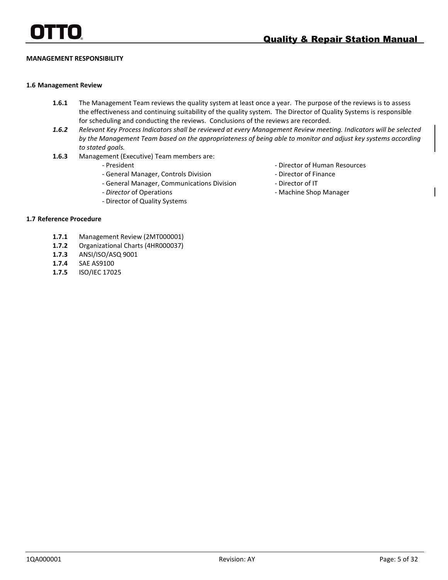### **MANAGEMENT RESPONSIBILITY**

### **1.6 Management Review**

- **1.6.1** The Management Team reviews the quality system at least once a year. The purpose of the reviews is to assess the effectiveness and continuing suitability of the quality system. The Director of Quality Systems is responsible for scheduling and conducting the reviews. Conclusions of the reviews are recorded.
- *1.6.2 Relevant Key Process Indicators shall be reviewed at every Management Review meeting. Indicators will be selected by the Management Team based on the appropriateness of being able to monitor and adjust key systems according to stated goals.*
- **1.6.3** Management (Executive) Team members are:
	- President
	- General Manager, Controls Division
	- General Manager, Communications Division
	- *Director* of Operations
	- Director of Quality Systems
- Director of Human Resources
- Director of Finance
- Director of IT
- Machine Shop Manager

### **1.7 Reference Procedure**

- **1.7.1** Management Review (2MT000001)
- **1.7.2** Organizational Charts (4HR000037)
- **1.7.3** ANSI/ISO/ASQ 9001
- **1.7.4** SAE AS9100
- **1.7.5** ISO/IEC 17025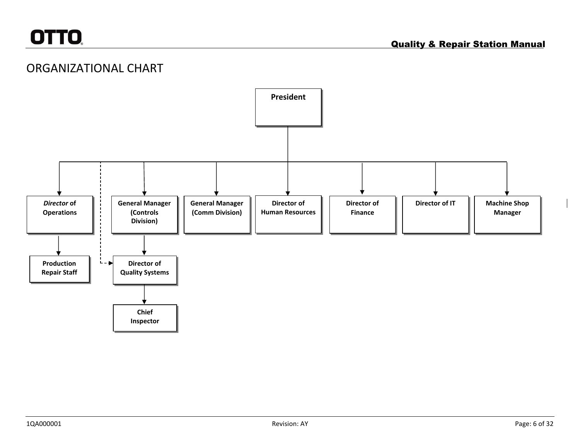## ORGANIZATIONAL CHART

<span id="page-14-0"></span>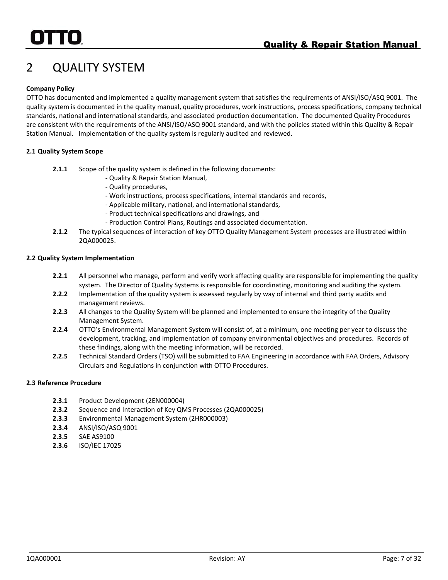# <span id="page-15-0"></span>2 QUALITY SYSTEM

### **Company Policy**

OTTO has documented and implemented a quality management system that satisfies the requirements of ANSI/ISO/ASQ 9001. The quality system is documented in the quality manual, quality procedures, work instructions, process specifications, company technical standards, national and international standards, and associated production documentation. The documented Quality Procedures are consistent with the requirements of the ANSI/ISO/ASQ 9001 standard, and with the policies stated within this Quality & Repair Station Manual. Implementation of the quality system is regularly audited and reviewed.

### **2.1 Quality System Scope**

- **2.1.1** Scope of the quality system is defined in the following documents:
	- Quality & Repair Station Manual,
	- Quality procedures,
	- Work instructions, process specifications, internal standards and records,
	- Applicable military, national, and international standards,
	- Product technical specifications and drawings, and
	- Production Control Plans, Routings and associated documentation.
- **2.1.2** The typical sequences of interaction of key OTTO Quality Management System processes are illustrated within 2QA000025.

### **2.2 Quality System Implementation**

- **2.2.1** All personnel who manage, perform and verify work affecting quality are responsible for implementing the quality system. The Director of Quality Systems is responsible for coordinating, monitoring and auditing the system.
- **2.2.2** Implementation of the quality system is assessed regularly by way of internal and third party audits and management reviews.
- **2.2.3** All changes to the Quality System will be planned and implemented to ensure the integrity of the Quality Management System.
- **2.2.4** OTTO's Environmental Management System will consist of, at a minimum, one meeting per year to discuss the development, tracking, and implementation of company environmental objectives and procedures. Records of these findings, along with the meeting information, will be recorded.
- **2.2.5** Technical Standard Orders (TSO) will be submitted to FAA Engineering in accordance with FAA Orders, Advisory Circulars and Regulations in conjunction with OTTO Procedures.

### **2.3 Reference Procedure**

- **2.3.1** Product Development (2EN000004)
- **2.3.2** Sequence and Interaction of Key QMS Processes (2QA000025)
- **2.3.3** Environmental Management System (2HR000003)
- **2.3.4** ANSI/ISO/ASQ 9001
- **2.3.5** SAE AS9100
- **2.3.6** ISO/IEC 17025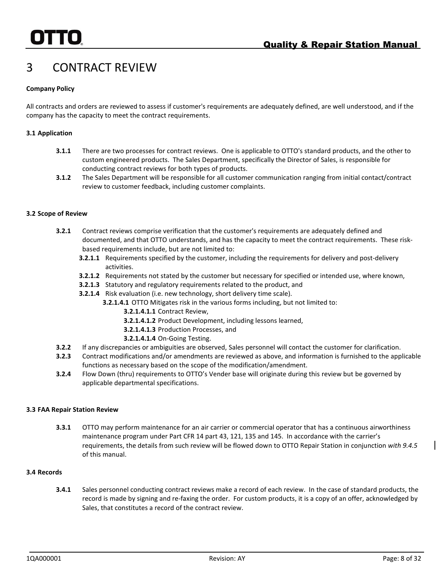# <span id="page-16-0"></span>3 CONTRACT REVIEW

### **Company Policy**

All contracts and orders are reviewed to assess if customer's requirements are adequately defined, are well understood, and if the company has the capacity to meet the contract requirements.

### **3.1 Application**

- **3.1.1** There are two processes for contract reviews. One is applicable to OTTO's standard products, and the other to custom engineered products. The Sales Department, specifically the Director of Sales, is responsible for conducting contract reviews for both types of products.
- **3.1.2** The Sales Department will be responsible for all customer communication ranging from initial contact/contract review to customer feedback, including customer complaints.

### **3.2 Scope of Review**

- **3.2.1** Contract reviews comprise verification that the customer's requirements are adequately defined and documented, and that OTTO understands, and has the capacity to meet the contract requirements. These riskbased requirements include, but are not limited to:
	- **3.2.1.1** Requirements specified by the customer, including the requirements for delivery and post-delivery activities.
	- **3.2.1.2** Requirements not stated by the customer but necessary for specified or intended use, where known,
	- **3.2.1.3** Statutory and regulatory requirements related to the product, and
	- **3.2.1.4** Risk evaluation (i.e. new technology, short delivery time scale).
		- **3.2.1.4.1** OTTO Mitigates risk in the various forms including, but not limited to:
			- **3.2.1.4.1.1** Contract Review,
			- **3.2.1.4.1.2** Product Development, including lessons learned,
			- **3.2.1.4.1.3** Production Processes, and
			- **3.2.1.4.1.4** On-Going Testing.
- **3.2.2** If any discrepancies or ambiguities are observed, Sales personnel will contact the customer for clarification.
- **3.2.3** Contract modifications and/or amendments are reviewed as above, and information is furnished to the applicable functions as necessary based on the scope of the modification/amendment.
- **3.2.4** Flow Down (thru) requirements to OTTO's Vender base will originate during this review but be governed by applicable departmental specifications.

### **3.3 FAA Repair Station Review**

**3.3.1** OTTO may perform maintenance for an air carrier or commercial operator that has a continuous airworthiness maintenance program under Part CFR 14 part 43, 121, 135 and 145. In accordance with the carrier's requirements, the details from such review will be flowed down to OTTO Repair Station in conjunction *with 9.4.5* of this manual.

### **3.4 Records**

**3.4.1** Sales personnel conducting contract reviews make a record of each review. In the case of standard products, the record is made by signing and re-faxing the order. For custom products, it is a copy of an offer, acknowledged by Sales, that constitutes a record of the contract review.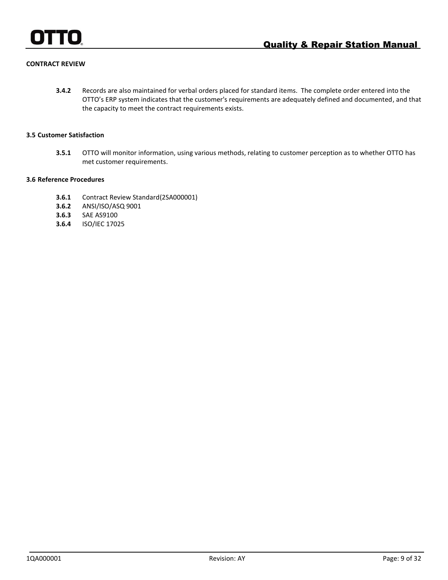

### **CONTRACT REVIEW**

**3.4.2** Records are also maintained for verbal orders placed for standard items. The complete order entered into the OTTO's ERP system indicates that the customer's requirements are adequately defined and documented, and that the capacity to meet the contract requirements exists.

### **3.5 Customer Satisfaction**

**3.5.1** OTTO will monitor information, using various methods, relating to customer perception as to whether OTTO has met customer requirements.

### **3.6 Reference Procedures**

- **3.6.1** Contract Review Standard(2SA000001)
- **3.6.2** ANSI/ISO/ASQ 9001
- **3.6.3** SAE AS9100
- **3.6.4** ISO/IEC 17025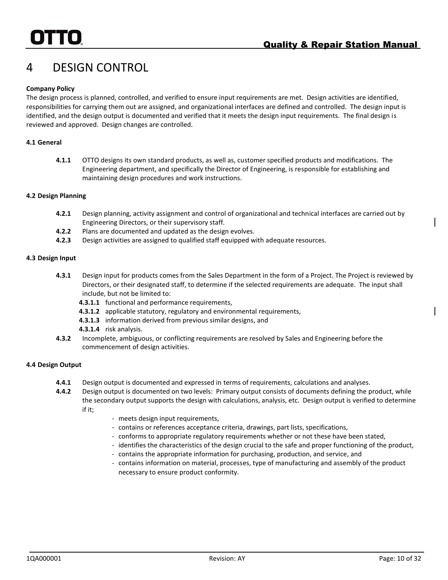# <span id="page-18-0"></span>4 DESIGN CONTROL

### **Company Policy**

The design process is planned, controlled, and verified to ensure input requirements are met. Design activities are identified, responsibilities for carrying them out are assigned, and organizational interfaces are defined and controlled. The design input is identified, and the design output is documented and verified that it meets the design input requirements. The final design is reviewed and approved. Design changes are controlled.

### **4.1 General**

**4.1.1** OTTO designs its own standard products, as well as, customer specified products and modifications. The Engineering department, and specifically the Director of Engineering, is responsible for establishing and maintaining design procedures and work instructions.

### **4.2 Design Planning**

- **4.2.1** Design planning, activity assignment and control of organizational and technical interfaces are carried out by Engineering Directors, or their supervisory staff.
- **4.2.2** Plans are documented and updated as the design evolves.
- **4.2.3** Design activities are assigned to qualified staff equipped with adequate resources.

### **4.3 Design Input**

- **4.3.1** Design input for products comes from the Sales Department in the form of a Project. The Project is reviewed by Directors, or their designated staff, to determine if the selected requirements are adequate. The input shall include, but not be limited to:
	- **4.3.1.1** functional and performance requirements,
	- **4.3.1.2** applicable statutory, regulatory and environmental requirements,
	- **4.3.1.3** information derived from previous similar designs, and
	- **4.3.1.4** risk analysis.
- **4.3.2** Incomplete, ambiguous, or conflicting requirements are resolved by Sales and Engineering before the commencement of design activities.

### **4.4 Design Output**

- **4.4.1** Design output is documented and expressed in terms of requirements, calculations and analyses.
- **4.4.2** Design output is documented on two levels: Primary output consists of documents defining the product, while the secondary output supports the design with calculations, analysis, etc. Design output is verified to determine if it;
	- meets design input requirements,
	- contains or references acceptance criteria, drawings, part lists, specifications,
	- conforms to appropriate regulatory requirements whether or not these have been stated,
	- identifies the characteristics of the design crucial to the safe and proper functioning of the product,
	- contains the appropriate information for purchasing, production, and service, and
	- contains information on material, processes, type of manufacturing and assembly of the product necessary to ensure product conformity.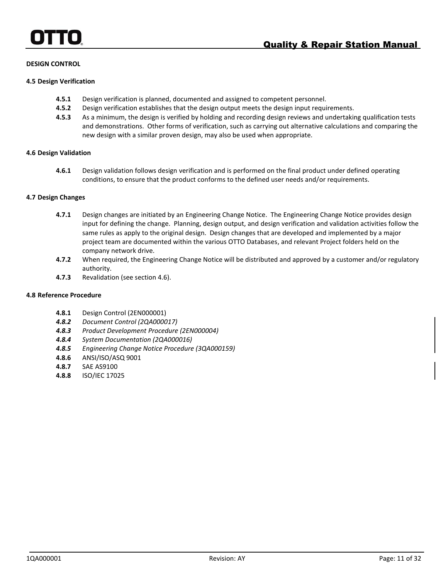### **DESIGN CONTROL**

### **4.5 Design Verification**

- **4.5.1** Design verification is planned, documented and assigned to competent personnel.
- **4.5.2** Design verification establishes that the design output meets the design input requirements.
- **4.5.3** As a minimum, the design is verified by holding and recording design reviews and undertaking qualification tests and demonstrations. Other forms of verification, such as carrying out alternative calculations and comparing the new design with a similar proven design, may also be used when appropriate.

### **4.6 Design Validation**

**4.6.1** Design validation follows design verification and is performed on the final product under defined operating conditions, to ensure that the product conforms to the defined user needs and/or requirements.

### **4.7 Design Changes**

- **4.7.1** Design changes are initiated by an Engineering Change Notice. The Engineering Change Notice provides design input for defining the change. Planning, design output, and design verification and validation activities follow the same rules as apply to the original design. Design changes that are developed and implemented by a major project team are documented within the various OTTO Databases, and relevant Project folders held on the company network drive.
- **4.7.2** When required, the Engineering Change Notice will be distributed and approved by a customer and/or regulatory authority.
- **4.7.3** Revalidation (see section 4.6).

### **4.8 Reference Procedure**

- **4.8.1** Design Control (2EN000001)
- *4.8.2 Document Control (2QA000017)*
- *4.8.3 Product Development Procedure (2EN000004)*
- *4.8.4 System Documentation (2QA000016)*
- *4.8.5 Engineering Change Notice Procedure (3QA000159)*
- **4.8.6** ANSI/ISO/ASQ 9001
- **4.8.7** SAE AS9100
- **4.8.8** ISO/IEC 17025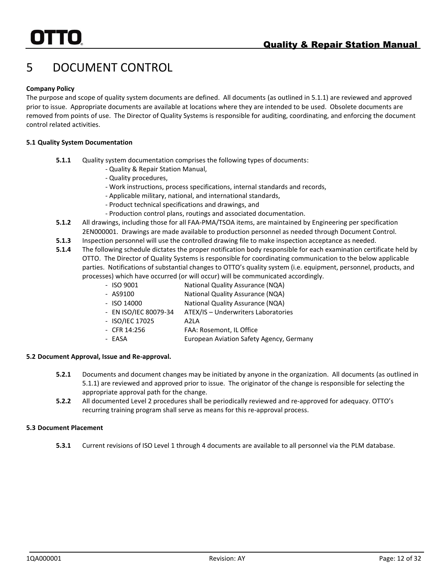# <span id="page-20-0"></span>5 DOCUMENT CONTROL

### **Company Policy**

The purpose and scope of quality system documents are defined. All documents (as outlined in 5.1.1) are reviewed and approved prior to issue. Appropriate documents are available at locations where they are intended to be used. Obsolete documents are removed from points of use. The Director of Quality Systems is responsible for auditing, coordinating, and enforcing the document control related activities.

### **5.1 Quality System Documentation**

- **5.1.1** Quality system documentation comprises the following types of documents:
	- Quality & Repair Station Manual,
	- Quality procedures,
	- Work instructions, process specifications, internal standards and records,
	- Applicable military, national, and international standards,
	- Product technical specifications and drawings, and
	- Production control plans, routings and associated documentation.
- **5.1.2** All drawings, including those for all FAA-PMA/TSOA items, are maintained by Engineering per specification 2EN000001. Drawings are made available to production personnel as needed through Document Control.
- **5.1.3** Inspection personnel will use the controlled drawing file to make inspection acceptance as needed.
- **5.1.4** The following schedule dictates the proper notification body responsible for each examination certificate held by OTTO. The Director of Quality Systems is responsible for coordinating communication to the below applicable parties. Notifications of substantial changes to OTTO's quality system (i.e. equipment, personnel, products, and processes) which have occurred (or will occur) will be communicated accordingly.
	- ISO 9001 National Quality Assurance (NQA)
	- AS9100 National Quality Assurance (NQA)
	- ISO 14000 National Quality Assurance (NQA)
	- EN ISO/IEC 80079-34 ATEX/IS Underwriters Laboratories
		- ISO/IEC 17025 A2LA
		- CFR 14:256 FAA: Rosemont, IL Office
		- EASA **EUROPEAN AViation Safety Agency, Germany**

### **5.2 Document Approval, Issue and Re-approval.**

- **5.2.1** Documents and document changes may be initiated by anyone in the organization. All documents (as outlined in 5.1.1) are reviewed and approved prior to issue. The originator of the change is responsible for selecting the appropriate approval path for the change.
- **5.2.2** All documented Level 2 procedures shall be periodically reviewed and re-approved for adequacy. OTTO's recurring training program shall serve as means for this re-approval process.

### **5.3 Document Placement**

**5.3.1** Current revisions of ISO Level 1 through 4 documents are available to all personnel via the PLM database.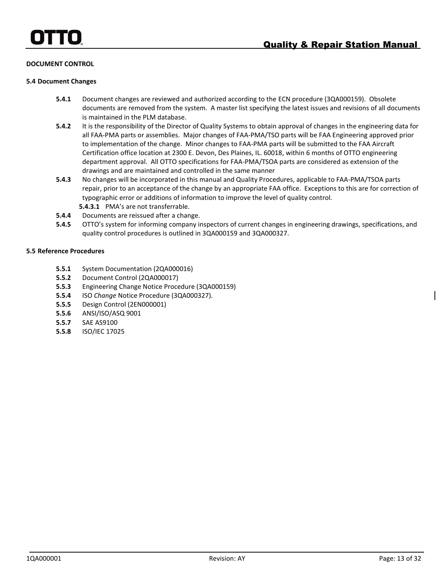### **DOCUMENT CONTROL**

### **5.4 Document Changes**

- **5.4.1** Document changes are reviewed and authorized according to the ECN procedure (3QA000159). Obsolete documents are removed from the system. A master list specifying the latest issues and revisions of all documents is maintained in the PLM database.
- **5.4.2** It is the responsibility of the Director of Quality Systems to obtain approval of changes in the engineering data for all FAA-PMA parts or assemblies. Major changes of FAA-PMA/TSO parts will be FAA Engineering approved prior to implementation of the change. Minor changes to FAA-PMA parts will be submitted to the FAA Aircraft Certification office location at 2300 E. Devon, Des Plaines, IL. 60018, within 6 months of OTTO engineering department approval. All OTTO specifications for FAA-PMA/TSOA parts are considered as extension of the drawings and are maintained and controlled in the same manner
- **5.4.3** No changes will be incorporated in this manual and Quality Procedures, applicable to FAA-PMA/TSOA parts repair, prior to an acceptance of the change by an appropriate FAA office. Exceptions to this are for correction of typographic error or additions of information to improve the level of quality control. **5.4.3.1** PMA's are not transferrable.
- **5.4.4** Documents are reissued after a change.
- **5.4.5** OTTO's system for informing company inspectors of current changes in engineering drawings, specifications, and quality control procedures is outlined in 3QA000159 and 3QA000327.

### **5.5 Reference Procedures**

- **5.5.1** System Documentation (2QA000016)
- **5.5.2** Document Control (2QA000017)
- **5.5.3** Engineering Change Notice Procedure (3QA000159)
- **5.5.4** ISO *Change* Notice Procedure (3QA000327).
- **5.5.5** Design Control (2EN000001)
- **5.5.6** ANSI/ISO/ASQ 9001
- **5.5.7** SAE AS9100
- **5.5.8** ISO/IEC 17025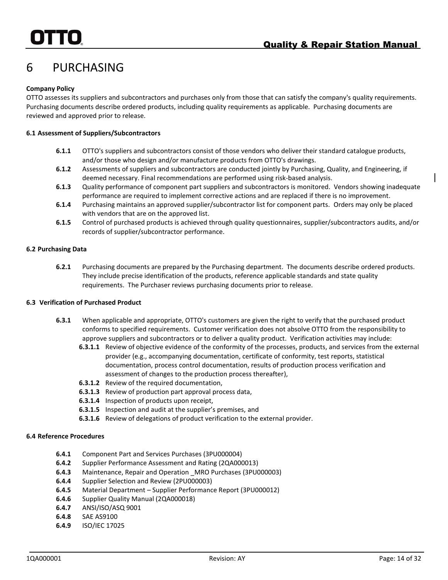# <span id="page-22-0"></span>6 PURCHASING

### **Company Policy**

OTTO assesses its suppliers and subcontractors and purchases only from those that can satisfy the company's quality requirements. Purchasing documents describe ordered products, including quality requirements as applicable. Purchasing documents are reviewed and approved prior to release.

### **6.1 Assessment of Suppliers/Subcontractors**

- **6.1.1** OTTO's suppliers and subcontractors consist of those vendors who deliver their standard catalogue products, and/or those who design and/or manufacture products from OTTO's drawings.
- **6.1.2** Assessments of suppliers and subcontractors are conducted jointly by Purchasing, Quality, and Engineering, if deemed necessary. Final recommendations are performed using risk-based analysis.
- **6.1.3** Quality performance of component part suppliers and subcontractors is monitored. Vendors showing inadequate performance are required to implement corrective actions and are replaced if there is no improvement.
- **6.1.4** Purchasing maintains an approved supplier/subcontractor list for component parts. Orders may only be placed with vendors that are on the approved list.
- **6.1.5** Control of purchased products is achieved through quality questionnaires, supplier/subcontractors audits, and/or records of supplier/subcontractor performance.

### **6.2 Purchasing Data**

**6.2.1** Purchasing documents are prepared by the Purchasing department. The documents describe ordered products. They include precise identification of the products, reference applicable standards and state quality requirements. The Purchaser reviews purchasing documents prior to release.

### **6.3 Verification of Purchased Product**

- **6.3.1** When applicable and appropriate, OTTO's customers are given the right to verify that the purchased product conforms to specified requirements. Customer verification does not absolve OTTO from the responsibility to approve suppliers and subcontractors or to deliver a quality product. Verification activities may include:
	- **6.3.1.1** Review of objective evidence of the conformity of the processes, products, and services from the external provider (e.g., accompanying documentation, certificate of conformity, test reports, statistical documentation, process control documentation, results of production process verification and assessment of changes to the production process thereafter),
	- **6.3.1.2** Review of the required documentation,
	- **6.3.1.3** Review of production part approval process data,
	- **6.3.1.4** Inspection of products upon receipt,
	- **6.3.1.5** Inspection and audit at the supplier's premises, and
	- **6.3.1.6** Review of delegations of product verification to the external provider.

### **6.4 Reference Procedures**

- **6.4.1** Component Part and Services Purchases (3PU000004)
- **6.4.2** Supplier Performance Assessment and Rating (2QA000013)
- **6.4.3** Maintenance, Repair and Operation \_MRO Purchases (3PU000003)
- **6.4.4** Supplier Selection and Review (2PU000003)
- **6.4.5** Material Department Supplier Performance Report (3PU000012)
- **6.4.6** Supplier Quality Manual (2QA000018)
- **6.4.7** ANSI/ISO/ASQ 9001
- **6.4.8** SAE AS9100
- **6.4.9** ISO/IEC 17025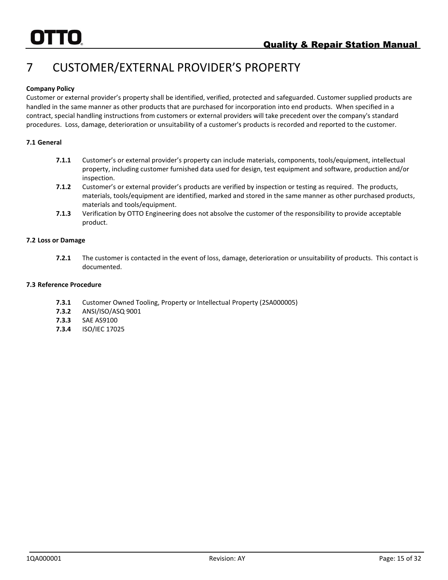# <span id="page-23-0"></span>7 CUSTOMER/EXTERNAL PROVIDER'S PROPERTY

### **Company Policy**

Customer or external provider's property shall be identified, verified, protected and safeguarded. Customer supplied products are handled in the same manner as other products that are purchased for incorporation into end products. When specified in a contract, special handling instructions from customers or external providers will take precedent over the company's standard procedures. Loss, damage, deterioration or unsuitability of a customer's products is recorded and reported to the customer.

### **7.1 General**

- **7.1.1** Customer's or external provider's property can include materials, components, tools/equipment, intellectual property, including customer furnished data used for design, test equipment and software, production and/or inspection.
- **7.1.2** Customer's or external provider's products are verified by inspection or testing as required. The products, materials, tools/equipment are identified, marked and stored in the same manner as other purchased products, materials and tools/equipment.
- **7.1.3** Verification by OTTO Engineering does not absolve the customer of the responsibility to provide acceptable product.

### **7.2 Loss or Damage**

**7.2.1** The customer is contacted in the event of loss, damage, deterioration or unsuitability of products. This contact is documented.

### **7.3 Reference Procedure**

- **7.3.1** Customer Owned Tooling, Property or Intellectual Property (2SA000005)
- **7.3.2** ANSI/ISO/ASQ 9001
- **7.3.3** SAE AS9100
- **7.3.4** ISO/IEC 17025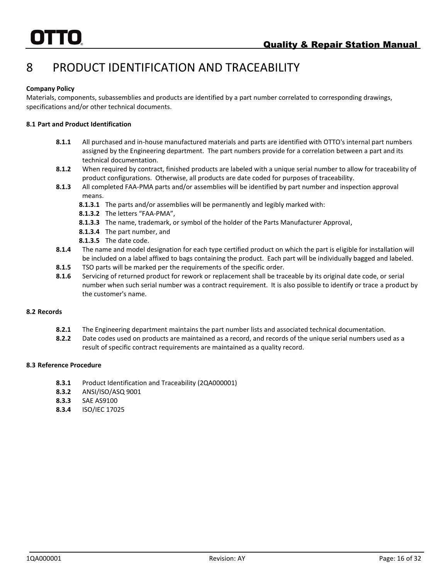# <span id="page-24-0"></span>8 PRODUCT IDENTIFICATION AND TRACEABILITY

### **Company Policy**

Materials, components, subassemblies and products are identified by a part number correlated to corresponding drawings, specifications and/or other technical documents.

### **8.1 Part and Product Identification**

- **8.1.1** All purchased and in-house manufactured materials and parts are identified with OTTO's internal part numbers assigned by the Engineering department. The part numbers provide for a correlation between a part and its technical documentation.
- **8.1.2** When required by contract, finished products are labeled with a unique serial number to allow for traceability of product configurations. Otherwise, all products are date coded for purposes of traceability.
- **8.1.3** All completed FAA-PMA parts and/or assemblies will be identified by part number and inspection approval means.
	- **8.1.3.1** The parts and/or assemblies will be permanently and legibly marked with:
	- **8.1.3.2** The letters "FAA-PMA",
	- **8.1.3.3** The name, trademark, or symbol of the holder of the Parts Manufacturer Approval,
	- **8.1.3.4** The part number, and
	- **8.1.3.5** The date code.
- **8.1.4** The name and model designation for each type certified product on which the part is eligible for installation will be included on a label affixed to bags containing the product. Each part will be individually bagged and labeled.
- **8.1.5** TSO parts will be marked per the requirements of the specific order.
- **8.1.6** Servicing of returned product for rework or replacement shall be traceable by its original date code, or serial number when such serial number was a contract requirement. It is also possible to identify or trace a product by the customer's name.

### **8.2 Records**

- **8.2.1** The Engineering department maintains the part number lists and associated technical documentation.
- **8.2.2** Date codes used on products are maintained as a record, and records of the unique serial numbers used as a result of specific contract requirements are maintained as a quality record.

### **8.3 Reference Procedure**

- **8.3.1** Product Identification and Traceability (2QA000001)
- **8.3.2** ANSI/ISO/ASQ 9001
- **8.3.3** SAE AS9100
- **8.3.4** ISO/IEC 17025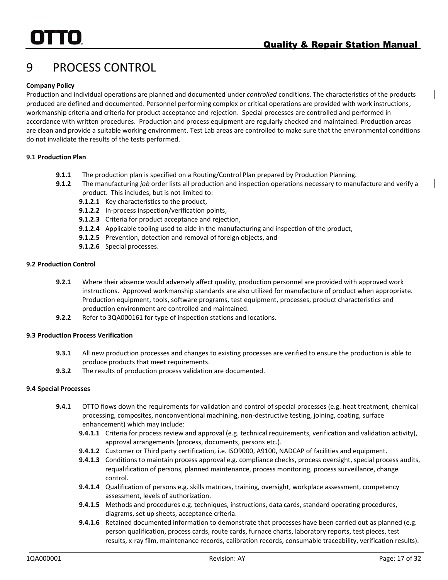# <span id="page-25-0"></span>9 PROCESS CONTROL

### **Company Policy**

Production and individual operations are planned and documented under *controlled* conditions. The characteristics of the products produced are defined and documented. Personnel performing complex or critical operations are provided with work instructions, workmanship criteria and criteria for product acceptance and rejection. Special processes are controlled and performed in accordance with written procedures. Production and process equipment are regularly checked and maintained. Production areas are clean and provide a suitable working environment. Test Lab areas are controlled to make sure that the environmental conditions do not invalidate the results of the tests performed.

### **9.1 Production Plan**

- **9.1.1** The production plan is specified on a Routing/Control Plan prepared by Production Planning.
- **9.1.2** The manufacturing *job* order lists all production and inspection operations necessary to manufacture and verify a product. This includes, but is not limited to:
	- **9.1.2.1** Key characteristics to the product,
	- **9.1.2.2** In-process inspection/verification points,
	- **9.1.2.3** Criteria for product acceptance and rejection,
	- **9.1.2.4** Applicable tooling used to aide in the manufacturing and inspection of the product,
	- **9.1.2.5** Prevention, detection and removal of foreign objects, and
	- **9.1.2.6** Special processes.

### **9.2 Production Control**

- **9.2.1** Where their absence would adversely affect quality, production personnel are provided with approved work instructions. Approved workmanship standards are also utilized for manufacture of product when appropriate. Production equipment, tools, software programs, test equipment, processes, product characteristics and production environment are controlled and maintained.
- **9.2.2** Refer to 3QA000161 for type of inspection stations and locations.

### **9.3 Production Process Verification**

- **9.3.1** All new production processes and changes to existing processes are verified to ensure the production is able to produce products that meet requirements.
- **9.3.2** The results of production process validation are documented.

### **9.4 Special Processes**

- **9.4.1** OTTO flows down the requirements for validation and control of special processes (e.g. heat treatment, chemical processing, composites, nonconventional machining, non-destructive testing, joining, coating, surface enhancement) which may include:
	- **9.4.1.1** Criteria for process review and approval (e.g. technical requirements, verification and validation activity), approval arrangements (process, documents, persons etc.).
	- **9.4.1.2** Customer or Third party certification, i.e. ISO9000, A9100, NADCAP of facilities and equipment.
	- **9.4.1.3** Conditions to maintain process approval e.g. compliance checks, process oversight, special process audits, requalification of persons, planned maintenance, process monitoring, process surveillance, change control.
	- **9.4.1.4** Qualification of persons e.g. skills matrices, training, oversight, workplace assessment, competency assessment, levels of authorization.
	- **9.4.1.5** Methods and procedures e.g. techniques, instructions, data cards, standard operating procedures, diagrams, set up sheets, acceptance criteria.
	- **9.4.1.6** Retained documented information to demonstrate that processes have been carried out as planned (e.g. person qualification, process cards, route cards, furnace charts, laboratory reports, test pieces, test results, x-ray film, maintenance records, calibration records, consumable traceability, verification results).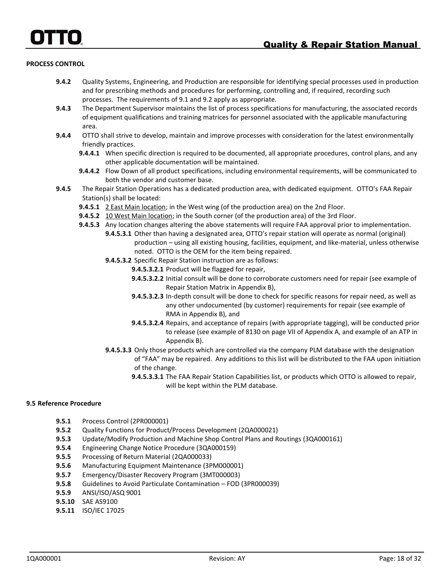### **PROCESS CONTROL**

- **9.4.2** Quality Systems, Engineering, and Production are responsible for identifying special processes used in production and for prescribing methods and procedures for performing, controlling and, if required, recording such processes. The requirements of 9.1 and 9.2 apply as appropriate.
- **9.4.3** The Department Supervisor maintains the list of process specifications for manufacturing, the associated records of equipment qualifications and training matrices for personnel associated with the applicable manufacturing area.
- **9.4.4** OTTO shall strive to develop, maintain and improve processes with consideration for the latest environmentally friendly practices.
	- **9.4.4.1** When specific direction is required to be documented, all appropriate procedures, control plans, and any other applicable documentation will be maintained.
	- **9.4.4.2** Flow Down of all product specifications, including environmental requirements, will be communicated to both the vendor and customer base.
- **9.4.5** The Repair Station Operations has a dedicated production area, with dedicated equipment. OTTO's FAA Repair Station(s) shall be located:
	- **9.4.5.1** 2 East Main location; in the West wing (of the production area) on the 2nd Floor.
	- **9.4.5.2** 10 West Main location; in the South corner (of the production area) of the 3rd Floor.
	- **9.4.5.3** Any location changes altering the above statements will require FAA approval prior to implementation. **9.4.5.3.1** Other than having a designated area, OTTO's repair station will operate as normal (original) production – using all existing housing, facilities, equipment, and like-material, unless otherwise noted. OTTO is the OEM for the item being repaired.
		- **9.4.5.3.2** Specific Repair Station instruction are as follows:
			- **9.4.5.3.2.1** Product will be flagged for repair,
			- **9.4.5.3.2.2** Initial consult will be done to corroborate customers need for repair (see example of Repair Station Matrix in Appendix B),
			- **9.4.5.3.2.3** In-depth consult will be done to check for specific reasons for repair need, as well as any other undocumented (by customer) requirements for repair (see example of RMA in Appendix B), and
			- **9.4.5.3.2.4** Repairs, and acceptance of repairs (with appropriate tagging), will be conducted prior to release (see example of 8130 on page VII of Appendix A, and example of an ATP in Appendix B).
		- **9.4.5.3.3** Only those products which are controlled via the company PLM database with the designation of "FAA" may be repaired. Any additions to this list will be distributed to the FAA upon initiation of the change.
			- **9.4.5.3.3.1** The FAA Repair Station Capabilities list, or products which OTTO is allowed to repair, will be kept within the PLM database.

### **9.5 Reference Procedure**

- **9.5.1** Process Control (2PR000001)
- **9.5.2** Quality Functions for Product/Process Development (2QA000021)
- **9.5.3** Update/Modify Production and Machine Shop Control Plans and Routings (3QA000161)
- **9.5.4** Engineering Change Notice Procedure (3QA000159)
- **9.5.5** Processing of Return Material (2QA000033)
- **9.5.6** Manufacturing Equipment Maintenance (3PM000001)
- **9.5.7** Emergency/Disaster Recovery Program (3MT000003)
- **9.5.8** Guidelines to Avoid Particulate Contamination FOD (3PR000039)
- **9.5.9** ANSI/ISO/ASQ 9001
- **9.5.10** SAE AS9100
- **9.5.11** ISO/IEC 17025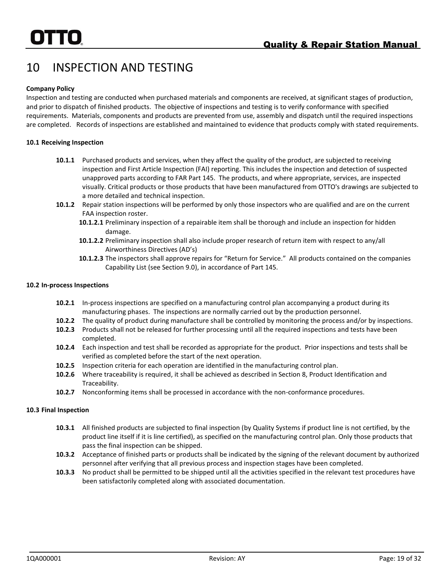# <span id="page-27-0"></span>10 INSPECTION AND TESTING

### **Company Policy**

Inspection and testing are conducted when purchased materials and components are received, at significant stages of production, and prior to dispatch of finished products. The objective of inspections and testing is to verify conformance with specified requirements. Materials, components and products are prevented from use, assembly and dispatch until the required inspections are completed. Records of inspections are established and maintained to evidence that products comply with stated requirements.

### **10.1 Receiving Inspection**

- **10.1.1** Purchased products and services, when they affect the quality of the product, are subjected to receiving inspection and First Article Inspection (FAI) reporting. This includes the inspection and detection of suspected unapproved parts according to FAR Part 145. The products, and where appropriate, services, are inspected visually. Critical products or those products that have been manufactured from OTTO's drawings are subjected to a more detailed and technical inspection.
- **10.1.2** Repair station inspections will be performed by only those inspectors who are qualified and are on the current FAA inspection roster.
	- **10.1.2.1** Preliminary inspection of a repairable item shall be thorough and include an inspection for hidden damage.
	- **10.1.2.2** Preliminary inspection shall also include proper research of return item with respect to any/all Airworthiness Directives (AD's)
	- **10.1.2.3** The inspectors shall approve repairs for "Return for Service." All products contained on the companies Capability List (see Section 9.0), in accordance of Part 145.

### **10.2 In-process Inspections**

- **10.2.1** In-process inspections are specified on a manufacturing control plan accompanying a product during its manufacturing phases. The inspections are normally carried out by the production personnel.
- **10.2.2** The quality of product during manufacture shall be controlled by monitoring the process and/or by inspections.
- **10.2.3** Products shall not be released for further processing until all the required inspections and tests have been completed.
- **10.2.4** Each inspection and test shall be recorded as appropriate for the product. Prior inspections and tests shall be verified as completed before the start of the next operation.
- **10.2.5** Inspection criteria for each operation are identified in the manufacturing control plan.
- **10.2.6** Where traceability is required, it shall be achieved as described in Section 8, Product Identification and Traceability.
- **10.2.7** Nonconforming items shall be processed in accordance with the non-conformance procedures.

### **10.3 Final Inspection**

- **10.3.1** All finished products are subjected to final inspection (by Quality Systems if product line is not certified, by the product line itself if it is line certified), as specified on the manufacturing control plan. Only those products that pass the final inspection can be shipped.
- **10.3.2** Acceptance of finished parts or products shall be indicated by the signing of the relevant document by authorized personnel after verifying that all previous process and inspection stages have been completed.
- **10.3.3** No product shall be permitted to be shipped until all the activities specified in the relevant test procedures have been satisfactorily completed along with associated documentation.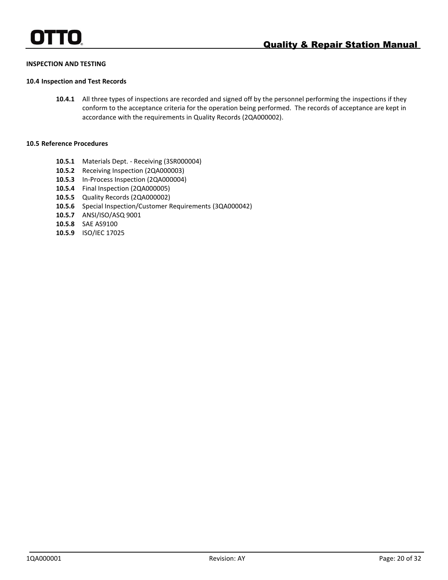### **INSPECTION AND TESTING**

### **10.4 Inspection and Test Records**

**10.4.1** All three types of inspections are recorded and signed off by the personnel performing the inspections if they conform to the acceptance criteria for the operation being performed. The records of acceptance are kept in accordance with the requirements in Quality Records (2QA000002).

### **10.5 Reference Procedures**

- **10.5.1** Materials Dept. Receiving (3SR000004)
- **10.5.2** Receiving Inspection (2QA000003)
- **10.5.3** In-Process Inspection (2QA000004)
- **10.5.4** Final Inspection (2QA000005)
- **10.5.5** Quality Records (2QA000002)
- **10.5.6** Special Inspection/Customer Requirements (3QA000042)
- **10.5.7** ANSI/ISO/ASQ 9001
- **10.5.8** SAE AS9100
- **10.5.9** ISO/IEC 17025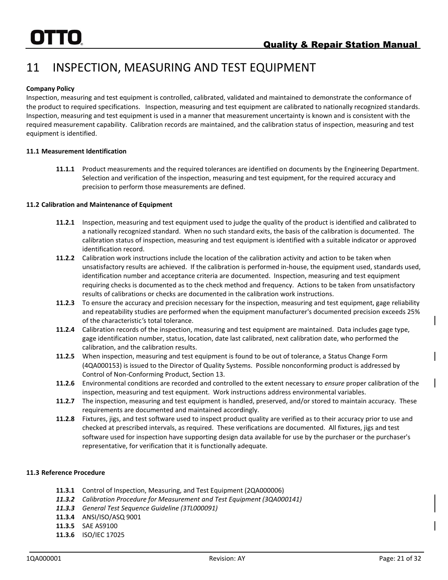# <span id="page-29-0"></span>11 INSPECTION, MEASURING AND TEST EQUIPMENT

### **Company Policy**

Inspection, measuring and test equipment is controlled, calibrated, validated and maintained to demonstrate the conformance of the product to required specifications. Inspection, measuring and test equipment are calibrated to nationally recognized standards. Inspection, measuring and test equipment is used in a manner that measurement uncertainty is known and is consistent with the required measurement capability. Calibration records are maintained, and the calibration status of inspection, measuring and test equipment is identified.

### **11.1 Measurement Identification**

**11.1.1** Product measurements and the required tolerances are identified on documents by the Engineering Department. Selection and verification of the inspection, measuring and test equipment, for the required accuracy and precision to perform those measurements are defined.

### **11.2 Calibration and Maintenance of Equipment**

- **11.2.1** Inspection, measuring and test equipment used to judge the quality of the product is identified and calibrated to a nationally recognized standard. When no such standard exits, the basis of the calibration is documented. The calibration status of inspection, measuring and test equipment is identified with a suitable indicator or approved identification record.
- **11.2.2** Calibration work instructions include the location of the calibration activity and action to be taken when unsatisfactory results are achieved. If the calibration is performed in-house, the equipment used, standards used, identification number and acceptance criteria are documented. Inspection, measuring and test equipment requiring checks is documented as to the check method and frequency. Actions to be taken from unsatisfactory results of calibrations or checks are documented in the calibration work instructions.
- **11.2.3** To ensure the accuracy and precision necessary for the inspection, measuring and test equipment, gage reliability and repeatability studies are performed when the equipment manufacturer's documented precision exceeds 25% of the characteristic*'*s total tolerance.
- **11.2.4** Calibration records of the inspection, measuring and test equipment are maintained. Data includes gage type, gage identification number, status, location, date last calibrated, next calibration date, who performed the calibration, and the calibration results.
- **11.2.5** When inspection, measuring and test equipment is found to be out of tolerance, a Status Change Form (4QA000153) is issued to the Director of Quality Systems. Possible nonconforming product is addressed by Control of Non-Conforming Product, Section 13.
- **11.2.6** Environmental conditions are recorded and controlled to the extent necessary to *ensure* proper calibration of the inspection, measuring and test equipment. Work instructions address environmental variables.
- **11.2.7** The inspection, measuring and test equipment is handled, preserved, and/or stored to maintain accuracy. These requirements are documented and maintained accordingly.
- **11.2.8** Fixtures, jigs, and test software used to inspect product quality are verified as to their accuracy prior to use and checked at prescribed intervals, as required. These verifications are documented. All fixtures, jigs and test software used for inspection have supporting design data available for use by the purchaser or the purchaser's representative, for verification that it is functionally adequate.

### **11.3 Reference Procedure**

- **11.3.1** Control of Inspection, Measuring, and Test Equipment (2QA000006)
- *11.3.2 Calibration Procedure for Measurement and Test Equipment (3QA000141)*
- *11.3.3 General Test Sequence Guideline (3TL000091)*
- **11.3.4** ANSI/ISO/ASQ 9001
- **11.3.5** SAE AS9100
- **11.3.6** ISO/IEC 17025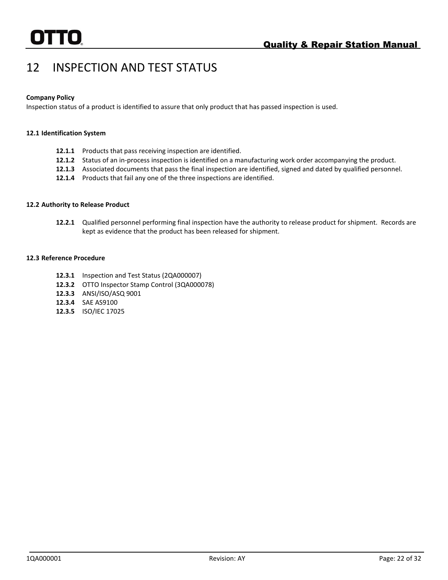# <span id="page-30-0"></span>12 INSPECTION AND TEST STATUS

### **Company Policy**

Inspection status of a product is identified to assure that only product that has passed inspection is used.

### **12.1 Identification System**

- **12.1.1** Products that pass receiving inspection are identified.
- **12.1.2** Status of an in-process inspection is identified on a manufacturing work order accompanying the product.
- **12.1.3** Associated documents that pass the final inspection are identified, signed and dated by qualified personnel.
- **12.1.4** Products that fail any one of the three inspections are identified.

### **12.2 Authority to Release Product**

**12.2.1** Qualified personnel performing final inspection have the authority to release product for shipment. Records are kept as evidence that the product has been released for shipment.

### **12.3 Reference Procedure**

- **12.3.1** Inspection and Test Status (2QA000007)
- **12.3.2** OTTO Inspector Stamp Control (3QA000078)
- **12.3.3** ANSI/ISO/ASQ 9001
- **12.3.4** SAE AS9100
- **12.3.5** ISO/IEC 17025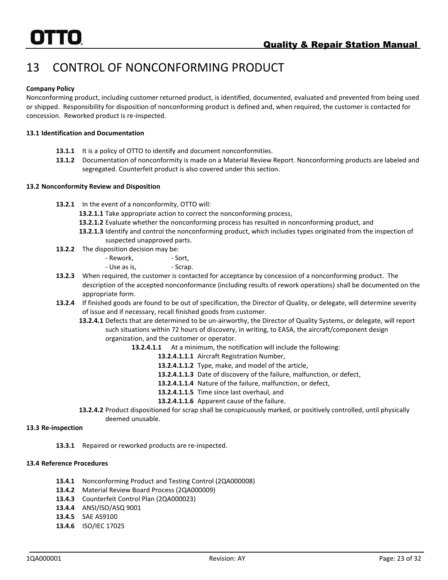# <span id="page-31-0"></span>13 CONTROL OF NONCONFORMING PRODUCT

### **Company Policy**

Nonconforming product, including customer returned product, is identified, documented, evaluated and prevented from being used or shipped. Responsibility for disposition of nonconforming product is defined and, when required, the customer is contacted for concession. Reworked product is re-inspected.

### **13.1 Identification and Documentation**

- **13.1.1** It is a policy of OTTO to identify and document nonconformities.
- **13.1.2** Documentation of nonconformity is made on a Material Review Report. Nonconforming products are labeled and segregated. Counterfeit product is also covered under this section.

### **13.2 Nonconformity Review and Disposition**

- **13.2.1** In the event of a nonconformity, OTTO will:
	- **13.2.1.1** Take appropriate action to correct the nonconforming process,
	- **13.2.1.2** Evaluate whether the nonconforming process has resulted in nonconforming product, and
	- **13.2.1.3** Identify and control the nonconforming product, which includes types originated from the inspection of suspected unapproved parts.
- **13.2.2** The disposition decision may be:
	- Rework, The Sort,
	- Use as is, Scrap.
- **13.2.3** When required, the customer is contacted for acceptance by concession of a nonconforming product. The description of the accepted nonconformance (including results of rework operations) shall be documented on the appropriate form.
- **13.2.4** If finished goods are found to be out of specification, the Director of Quality, or delegate, will determine severity of issue and if necessary, recall finished goods from customer.
	- **13.2.4.1** Defects that are determined to be un-airworthy, the Director of Quality Systems, or delegate, will report such situations within 72 hours of discovery, in writing, to EASA, the aircraft/component design organization, and the customer or operator.
		- **13.2.4.1.1** At a minimum, the notification will include the following:
			- **13.2.4.1.1.1** Aircraft Registration Number,
			- **13.2.4.1.1.2** Type, make, and model of the article,
			- **13.2.4.1.1.3** Date of discovery of the failure, malfunction, or defect,
			- **13.2.4.1.1.4** Nature of the failure, malfunction, or defect,
			- **13.2.4.1.1.5** Time since last overhaul, and
			- **13.2.4.1.1.6** Apparent cause of the failure.
	- **13.2.4.2** Product dispositioned for scrap shall be conspicuously marked, or positively controlled, until physically deemed unusable.

### **13.3 Re-inspection**

**13.3.1** Repaired or reworked products are re-inspected.

### **13.4 Reference Procedures**

- **13.4.1** Nonconforming Product and Testing Control (2QA000008)
- **13.4.2** Material Review Board Process (2QA000009)
- **13.4.3** Counterfeit Control Plan (2QA000023)
- **13.4.4** ANSI/ISO/ASQ 9001
- **13.4.5** SAE AS9100
- **13.4.6** ISO/IEC 17025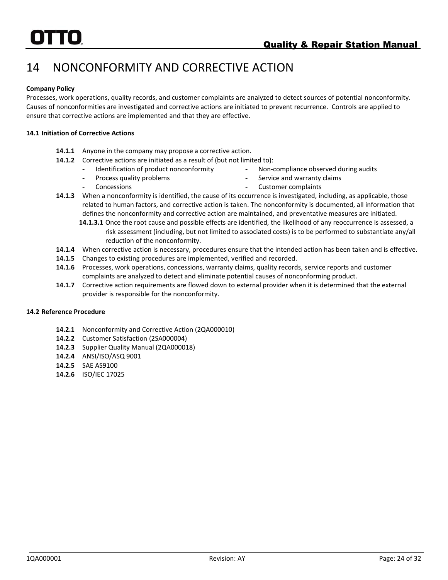# <span id="page-32-0"></span>14 NONCONFORMITY AND CORRECTIVE ACTION

### **Company Policy**

Processes, work operations, quality records, and customer complaints are analyzed to detect sources of potential nonconformity. Causes of nonconformities are investigated and corrective actions are initiated to prevent recurrence. Controls are applied to ensure that corrective actions are implemented and that they are effective.

### **14.1 Initiation of Corrective Actions**

- **14.1.1** Anyone in the company may propose a corrective action.
- **14.1.2** Corrective actions are initiated as a result of (but not limited to):
	- *-* Identification of product nonconformity
	- Process quality problems

*-* Non-compliance observed during audits

*-* Concessions

- Service and warranty claims *-* Customer complaints
- **14.1.3** When a nonconformity is identified, the cause of its occurrence is investigated, including, as applicable, those related to human factors, and corrective action is taken. The nonconformity is documented, all information that defines the nonconformity and corrective action are maintained, and preventative measures are initiated.
	- **14.1.3.1** Once the root cause and possible effects are identified, the likelihood of any reoccurrence is assessed, a risk assessment (including, but not limited to associated costs) is to be performed to substantiate any/all reduction of the nonconformity.
- **14.1.4** When corrective action is necessary, procedures ensure that the intended action has been taken and is effective.
- **14.1.5** Changes to existing procedures are implemented, verified and recorded.
- **14.1.6** Processes, work operations, concessions, warranty claims, quality records, service reports and customer complaints are analyzed to detect and eliminate potential causes of nonconforming product.
- **14.1.7** Corrective action requirements are flowed down to external provider when it is determined that the external provider is responsible for the nonconformity.

### **14.2 Reference Procedure**

- **14.2.1** Nonconformity and Corrective Action (2QA000010)
- **14.2.2** Customer Satisfaction (2SA000004)
- **14.2.3** Supplier Quality Manual (2QA000018)
- **14.2.4** ANSI/ISO/ASQ 9001
- **14.2.5** SAE AS9100
- **14.2.6** ISO/IEC 17025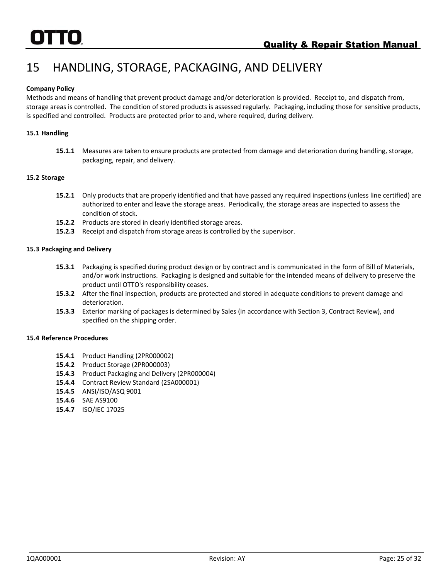# <span id="page-33-0"></span>15 HANDLING, STORAGE, PACKAGING, AND DELIVERY

### **Company Policy**

Methods and means of handling that prevent product damage and/or deterioration is provided. Receipt to, and dispatch from, storage areas is controlled. The condition of stored products is assessed regularly. Packaging, including those for sensitive products, is specified and controlled. Products are protected prior to and, where required, during delivery.

### **15.1 Handling**

**15.1.1** Measures are taken to ensure products are protected from damage and deterioration during handling, storage, packaging, repair, and delivery.

### **15.2 Storage**

- **15.2.1** Only products that are properly identified and that have passed any required inspections (unless line certified) are authorized to enter and leave the storage areas. Periodically, the storage areas are inspected to assess the condition of stock.
- **15.2.2** Products are stored in clearly identified storage areas.
- **15.2.3** Receipt and dispatch from storage areas is controlled by the supervisor.

### **15.3 Packaging and Delivery**

- **15.3.1** Packaging is specified during product design or by contract and is communicated in the form of Bill of Materials, and/or work instructions. Packaging is designed and suitable for the intended means of delivery to preserve the product until OTTO's responsibility ceases.
- **15.3.2** After the final inspection, products are protected and stored in adequate conditions to prevent damage and deterioration.
- **15.3.3** Exterior marking of packages is determined by Sales (in accordance with Section 3, Contract Review), and specified on the shipping order.

### **15.4 Reference Procedures**

- **15.4.1** Product Handling (2PR000002)
- **15.4.2** Product Storage (2PR000003)
- **15.4.3** Product Packaging and Delivery (2PR000004)
- **15.4.4** Contract Review Standard (2SA000001)
- **15.4.5** ANSI/ISO/ASQ 9001
- **15.4.6** SAE AS9100
- **15.4.7** ISO/IEC 17025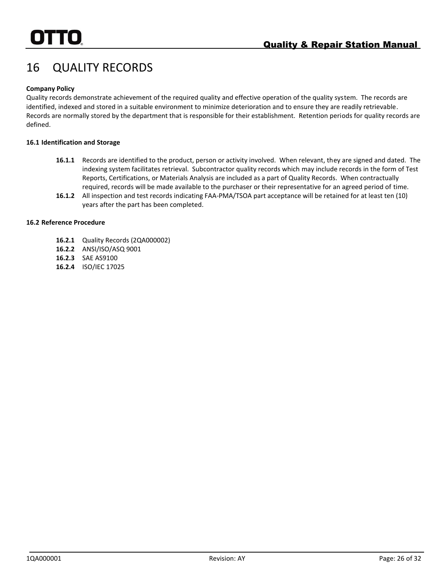# <span id="page-34-0"></span>16 QUALITY RECORDS

### **Company Policy**

Quality records demonstrate achievement of the required quality and effective operation of the quality system. The records are identified, indexed and stored in a suitable environment to minimize deterioration and to ensure they are readily retrievable. Records are normally stored by the department that is responsible for their establishment. Retention periods for quality records are defined.

### **16.1 Identification and Storage**

- **16.1.1** Records are identified to the product, person or activity involved. When relevant, they are signed and dated. The indexing system facilitates retrieval. Subcontractor quality records which may include records in the form of Test Reports, Certifications, or Materials Analysis are included as a part of Quality Records. When contractually required, records will be made available to the purchaser or their representative for an agreed period of time.
- **16.1.2** All inspection and test records indicating FAA-PMA/TSOA part acceptance will be retained for at least ten (10) years after the part has been completed.

### **16.2 Reference Procedure**

- **16.2.1** Quality Records (2QA000002)
- **16.2.2** ANSI/ISO/ASQ 9001
- **16.2.3** SAE AS9100
- **16.2.4** ISO/IEC 17025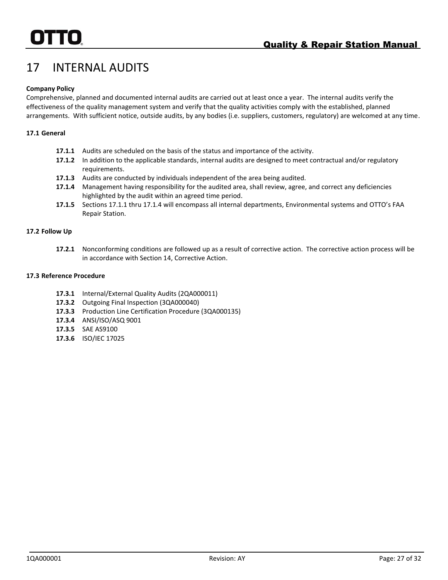# <span id="page-35-0"></span>17 INTERNAL AUDITS

### **Company Policy**

Comprehensive, planned and documented internal audits are carried out at least once a year. The internal audits verify the effectiveness of the quality management system and verify that the quality activities comply with the established, planned arrangements. With sufficient notice, outside audits, by any bodies (i.e. suppliers, customers, regulatory) are welcomed at any time.

### **17.1 General**

- **17.1.1** Audits are scheduled on the basis of the status and importance of the activity.
- **17.1.2** In addition to the applicable standards, internal audits are designed to meet contractual and/or regulatory requirements.
- **17.1.3** Audits are conducted by individuals independent of the area being audited.
- **17.1.4** Management having responsibility for the audited area, shall review, agree, and correct any deficiencies highlighted by the audit within an agreed time period.
- **17.1.5** Sections 17.1.1 thru 17.1.4 will encompass all internal departments, Environmental systems and OTTO's FAA Repair Station.

### **17.2 Follow Up**

**17.2.1** Nonconforming conditions are followed up as a result of corrective action. The corrective action process will be in accordance with Section 14, Corrective Action.

### **17.3 Reference Procedure**

- **17.3.1** Internal/External Quality Audits (2QA000011)
- **17.3.2** Outgoing Final Inspection (3QA000040)
- **17.3.3** Production Line Certification Procedure (3QA000135)
- **17.3.4** ANSI/ISO/ASQ 9001
- **17.3.5** SAE AS9100
- **17.3.6** ISO/IEC 17025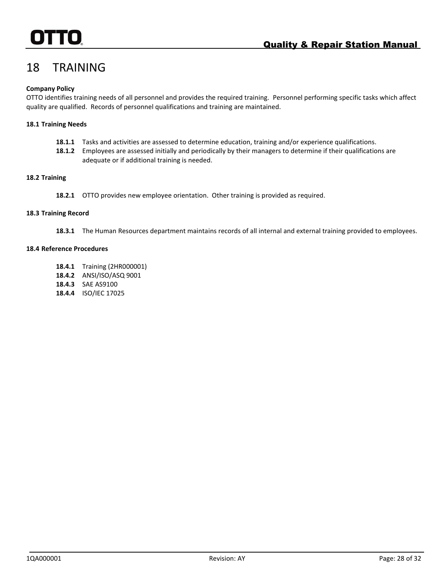# <span id="page-36-0"></span>18 TRAINING

### **Company Policy**

OTTO identifies training needs of all personnel and provides the required training. Personnel performing specific tasks which affect quality are qualified. Records of personnel qualifications and training are maintained.

### **18.1 Training Needs**

- **18.1.1** Tasks and activities are assessed to determine education, training and/or experience qualifications.
- **18.1.2** Employees are assessed initially and periodically by their managers to determine if their qualifications are adequate or if additional training is needed.

### **18.2 Training**

**18.2.1** OTTO provides new employee orientation. Other training is provided as required.

### **18.3 Training Record**

**18.3.1** The Human Resources department maintains records of all internal and external training provided to employees.

### **18.4 Reference Procedures**

- **18.4.1** Training (2HR000001)
- **18.4.2** ANSI/ISO/ASQ 9001
- **18.4.3** SAE AS9100
- **18.4.4** ISO/IEC 17025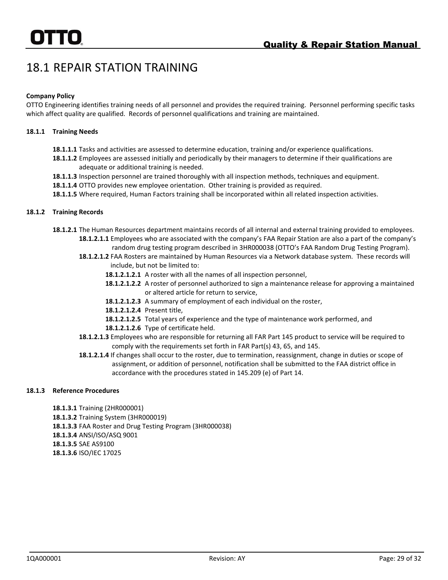# <span id="page-37-0"></span>18.1 REPAIR STATION TRAINING

### **Company Policy**

OTTO Engineering identifies training needs of all personnel and provides the required training. Personnel performing specific tasks which affect quality are qualified. Records of personnel qualifications and training are maintained.

### **18.1.1 Training Needs**

- **18.1.1.1** Tasks and activities are assessed to determine education, training and/or experience qualifications.
- **18.1.1.2** Employees are assessed initially and periodically by their managers to determine if their qualifications are adequate or additional training is needed.
- **18.1.1.3** Inspection personnel are trained thoroughly with all inspection methods, techniques and equipment.
- **18.1.1.4** OTTO provides new employee orientation. Other training is provided as required.
- **18.1.1.5** Where required, Human Factors training shall be incorporated within all related inspection activities.

### **18.1.2 Training Records**

- **18.1.2.1** The Human Resources department maintains records of all internal and external training provided to employees. **18.1.2.1.1** Employees who are associated with the company's FAA Repair Station are also a part of the company's
	- random drug testing program described in 3HR000038 (OTTO's FAA Random Drug Testing Program). **18.1.2.1.2** FAA Rosters are maintained by Human Resources via a Network database system. These records will
		- include, but not be limited to:
		- **18.1.2.1.2.1** A roster with all the names of all inspection personnel,
		- **18.1.2.1.2.2** A roster of personnel authorized to sign a maintenance release for approving a maintained or altered article for return to service,
		- **18.1.2.1.2.3** A summary of employment of each individual on the roster,
		- **18.1.2.1.2.4** Present title,
		- **18.1.2.1.2.5** Total years of experience and the type of maintenance work performed, and
		- **18.1.2.1.2.6** Type of certificate held.
	- **18.1.2.1.3** Employees who are responsible for returning all FAR Part 145 product to service will be required to comply with the requirements set forth in FAR Part(s) 43, 65, and 145.
	- **18.1.2.1.4** If changes shall occur to the roster, due to termination, reassignment, change in duties or scope of assignment, or addition of personnel, notification shall be submitted to the FAA district office in accordance with the procedures stated in 145.209 (e) of Part 14.

### **18.1.3 Reference Procedures**

**18.1.3.1** Training (2HR000001) **18.1.3.2** Training System (3HR000019) **18.1.3.3** FAA Roster and Drug Testing Program (3HR000038) **18.1.3.4** ANSI/ISO/ASQ 9001 **18.1.3.5** SAE AS9100 **18.1.3.6** ISO/IEC 17025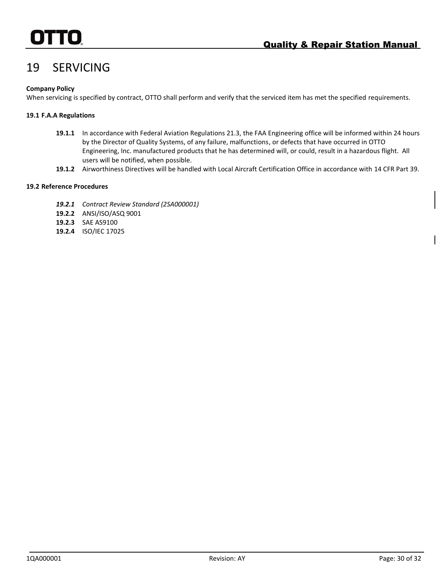# <span id="page-38-0"></span>19 SERVICING

### **Company Policy**

When servicing is specified by contract, OTTO shall perform and verify that the serviced item has met the specified requirements.

### **19.1 F.A.A Regulations**

- **19.1.1** In accordance with Federal Aviation Regulations 21.3, the FAA Engineering office will be informed within 24 hours by the Director of Quality Systems, of any failure, malfunctions, or defects that have occurred in OTTO Engineering, Inc. manufactured products that he has determined will, or could, result in a hazardous flight. All users will be notified, when possible.
- **19.1.2** Airworthiness Directives will be handled with Local Aircraft Certification Office in accordance with 14 CFR Part 39.

### **19.2 Reference Procedures**

- *19.2.1 Contract Review Standard (2SA000001)*
- **19.2.2** ANSI/ISO/ASQ 9001
- **19.2.3** SAE AS9100
- **19.2.4** ISO/IEC 17025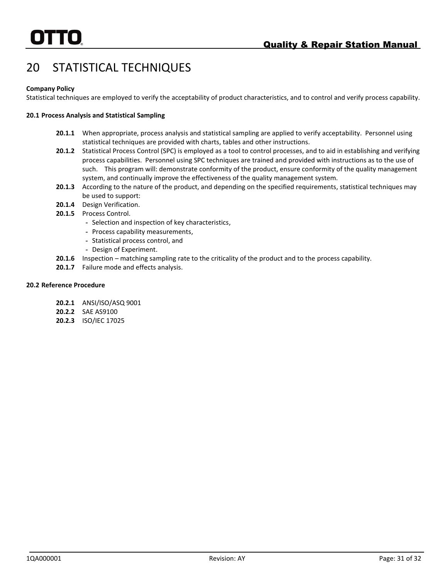# <span id="page-39-0"></span>20 STATISTICAL TECHNIQUES

### **Company Policy**

Statistical techniques are employed to verify the acceptability of product characteristics, and to control and verify process capability.

### **20.1 Process Analysis and Statistical Sampling**

- **20.1.1** When appropriate, process analysis and statistical sampling are applied to verify acceptability. Personnel using statistical techniques are provided with charts, tables and other instructions.
- **20.1.2** Statistical Process Control (SPC) is employed as a tool to control processes, and to aid in establishing and verifying process capabilities. Personnel using SPC techniques are trained and provided with instructions as to the use of such. This program will: demonstrate conformity of the product, ensure conformity of the quality management system, and continually improve the effectiveness of the quality management system.
- **20.1.3** According to the nature of the product, and depending on the specified requirements, statistical techniques may be used to support:
- **20.1.4** Design Verification.
- **20.1.5** Process Control.
	- *-* Selection and inspection of key characteristics,
	- *-* Process capability measurements,
	- *-* Statistical process control, and
	- *-* Design of Experiment.
- **20.1.6** Inspection matching sampling rate to the criticality of the product and to the process capability.
- **20.1.7** Failure mode and effects analysis.

### **20.2 Reference Procedure**

- **20.2.1** ANSI/ISO/ASQ 9001
- **20.2.2** SAE AS9100
- **20.2.3** ISO/IEC 17025